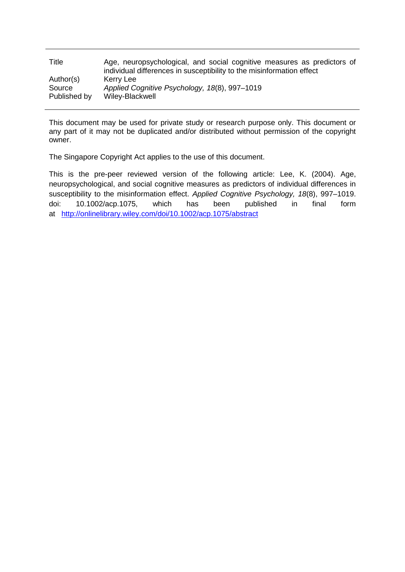| Title        | Age, neuropsychological, and social cognitive measures as predictors of<br>individual differences in susceptibility to the misinformation effect |
|--------------|--------------------------------------------------------------------------------------------------------------------------------------------------|
| Author(s)    | Kerry Lee                                                                                                                                        |
| Source       | Applied Cognitive Psychology, 18(8), 997-1019                                                                                                    |
| Published by | Wiley-Blackwell                                                                                                                                  |

This document may be used for private study or research purpose only. This document or any part of it may not be duplicated and/or distributed without permission of the copyright owner.

The Singapore Copyright Act applies to the use of this document.

This is the pre-peer reviewed version of the following article: Lee, K. (2004). Age, neuropsychological, and social cognitive measures as predictors of individual differences in susceptibility to the misinformation effect. *Applied Cognitive Psychology, 18*(8), 997–1019. doi: 10.1002/acp.1075, which has been published in final form at <http://onlinelibrary.wiley.com/doi/10.1002/acp.1075/abstract>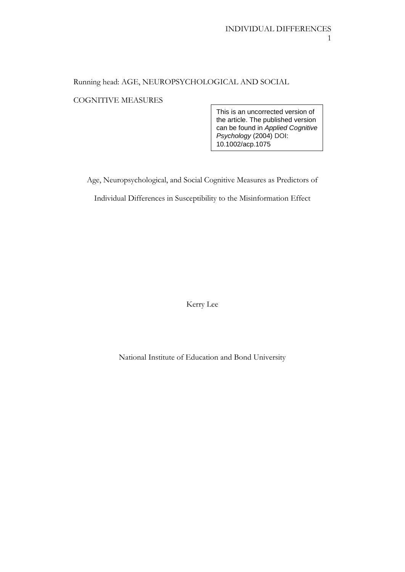# Running head: AGE, NEUROPSYCHOLOGICAL AND SOCIAL

## COGNITIVE MEASURES

This is an uncorrected version of the article. The published version can be found in *Applied Cognitive Psychology* (2004) DOI: 10.1002/acp.1075

Age, Neuropsychological, and Social Cognitive Measures as Predictors of

Individual Differences in Susceptibility to the Misinformation Effect

Kerry Lee

National Institute of Education and Bond University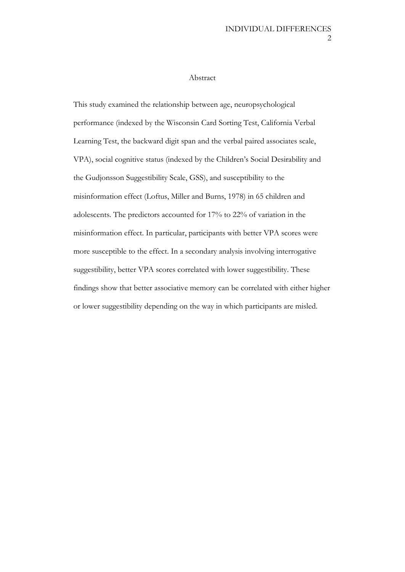#### Abstract

This study examined the relationship between age, neuropsychological performance (indexed by the Wisconsin Card Sorting Test, California Verbal Learning Test, the backward digit span and the verbal paired associates scale, VPA), social cognitive status (indexed by the Children's Social Desirability and the Gudjonsson Suggestibility Scale, GSS), and susceptibility to the misinformation effect (Loftus, Miller and Burns, 1978) in 65 children and adolescents. The predictors accounted for 17% to 22% of variation in the misinformation effect. In particular, participants with better VPA scores were more susceptible to the effect. In a secondary analysis involving interrogative suggestibility, better VPA scores correlated with lower suggestibility. These findings show that better associative memory can be correlated with either higher or lower suggestibility depending on the way in which participants are misled.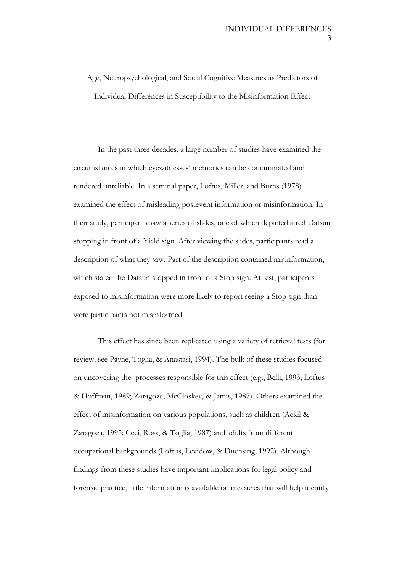Age, Neuropsychological, and Social Cognitive Measures as Predictors of Individual Differences in Susceptibility to the Misinformation Effect

In the past three decades, a large number of studies have examined the circumstances in which eyewitnesses' memories can be contaminated and rendered unreliable. In a seminal paper, Loftus, Miller, and Burns (1978) examined the effect of misleading postevent information or misinformation. In their study, participants saw a series of slides, one of which depicted a red Datsun stopping in front of a Yield sign. After viewing the slides, participants read a description of what they saw. Part of the description contained misinformation, which stated the Datsun stopped in front of a Stop sign. At test, participants exposed to misinformation were more likely to report seeing a Stop sign than were participants not misinformed.

This effect has since been replicated using a variety of retrieval tests (for review, see Payne, Toglia, & Anastasi, 1994). The bulk of these studies focused on uncovering the processes responsible for this effect (e.g., Belli, 1993; Loftus & Hoffman, 1989; Zaragoza, McCloskey, & Jamis, 1987). Others examined the effect of misinformation on various populations, such as children (Ackil & Zaragoza, 1995; Ceci, Ross, & Toglia, 1987) and adults from different occupational backgrounds (Loftus, Levidow, & Duensing, 1992). Although findings from these studies have important implications for legal policy and forensic practice, little information is available on measures that will help identify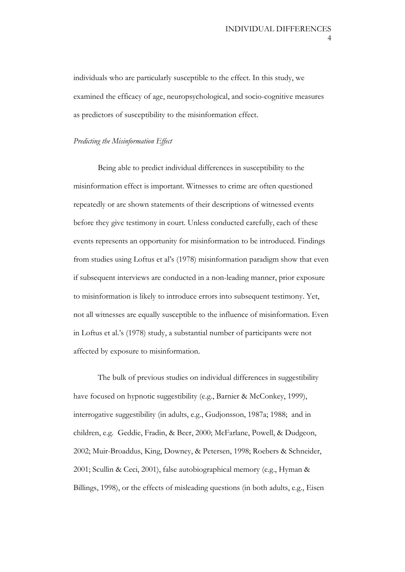individuals who are particularly susceptible to the effect. In this study, we examined the efficacy of age, neuropsychological, and socio-cognitive measures as predictors of susceptibility to the misinformation effect.

#### *Predicting the Misinformation Effect*

Being able to predict individual differences in susceptibility to the misinformation effect is important. Witnesses to crime are often questioned repeatedly or are shown statements of their descriptions of witnessed events before they give testimony in court. Unless conducted carefully, each of these events represents an opportunity for misinformation to be introduced. Findings from studies using Loftus et al's (1978) misinformation paradigm show that even if subsequent interviews are conducted in a non-leading manner, prior exposure to misinformation is likely to introduce errors into subsequent testimony. Yet, not all witnesses are equally susceptible to the influence of misinformation. Even in Loftus et al.'s (1978) study, a substantial number of participants were not affected by exposure to misinformation.

The bulk of previous studies on individual differences in suggestibility have focused on hypnotic suggestibility (e.g., Barnier & McConkey, 1999), interrogative suggestibility (in adults, e.g., Gudjonsson, 1987a; 1988; and in children, e.g. Geddie, Fradin, & Beer, 2000; McFarlane, Powell, & Dudgeon, 2002; Muir-Broaddus, King, Downey, & Petersen, 1998; Roebers & Schneider, 2001; Scullin & Ceci, 2001), false autobiographical memory (e.g., Hyman & Billings, 1998), or the effects of misleading questions (in both adults, e.g., Eisen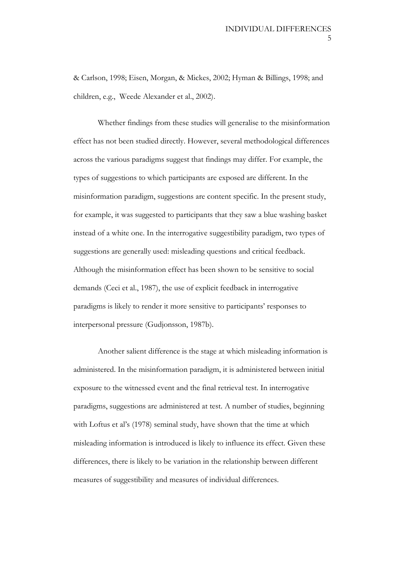& Carlson, 1998; Eisen, Morgan, & Mickes, 2002; Hyman & Billings, 1998; and children, e.g., Weede Alexander et al., 2002).

Whether findings from these studies will generalise to the misinformation effect has not been studied directly. However, several methodological differences across the various paradigms suggest that findings may differ. For example, the types of suggestions to which participants are exposed are different. In the misinformation paradigm, suggestions are content specific. In the present study, for example, it was suggested to participants that they saw a blue washing basket instead of a white one. In the interrogative suggestibility paradigm, two types of suggestions are generally used: misleading questions and critical feedback. Although the misinformation effect has been shown to be sensitive to social demands (Ceci et al., 1987), the use of explicit feedback in interrogative paradigms is likely to render it more sensitive to participants' responses to interpersonal pressure (Gudjonsson, 1987b).

Another salient difference is the stage at which misleading information is administered. In the misinformation paradigm, it is administered between initial exposure to the witnessed event and the final retrieval test. In interrogative paradigms, suggestions are administered at test. A number of studies, beginning with Loftus et al's (1978) seminal study, have shown that the time at which misleading information is introduced is likely to influence its effect. Given these differences, there is likely to be variation in the relationship between different measures of suggestibility and measures of individual differences.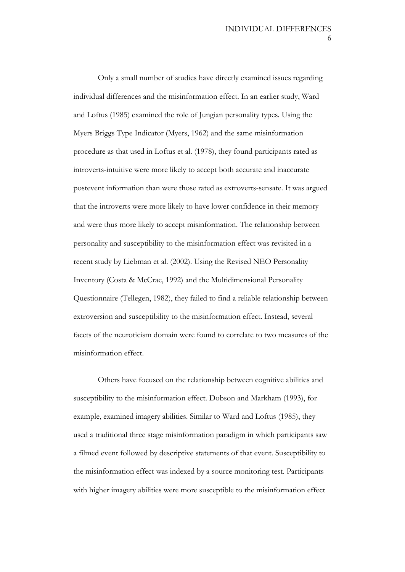Only a small number of studies have directly examined issues regarding individual differences and the misinformation effect. In an earlier study, Ward and Loftus (1985) examined the role of Jungian personality types. Using the Myers Briggs Type Indicator (Myers, 1962) and the same misinformation procedure as that used in Loftus et al. (1978), they found participants rated as introverts-intuitive were more likely to accept both accurate and inaccurate postevent information than were those rated as extroverts-sensate. It was argued that the introverts were more likely to have lower confidence in their memory and were thus more likely to accept misinformation. The relationship between personality and susceptibility to the misinformation effect was revisited in a recent study by Liebman et al. (2002). Using the Revised NEO Personality Inventory (Costa & McCrae, 1992) and the Multidimensional Personality Questionnaire (Tellegen, 1982), they failed to find a reliable relationship between extroversion and susceptibility to the misinformation effect. Instead, several facets of the neuroticism domain were found to correlate to two measures of the misinformation effect.

Others have focused on the relationship between cognitive abilities and susceptibility to the misinformation effect. Dobson and Markham (1993), for example, examined imagery abilities. Similar to Ward and Loftus (1985), they used a traditional three stage misinformation paradigm in which participants saw a filmed event followed by descriptive statements of that event. Susceptibility to the misinformation effect was indexed by a source monitoring test. Participants with higher imagery abilities were more susceptible to the misinformation effect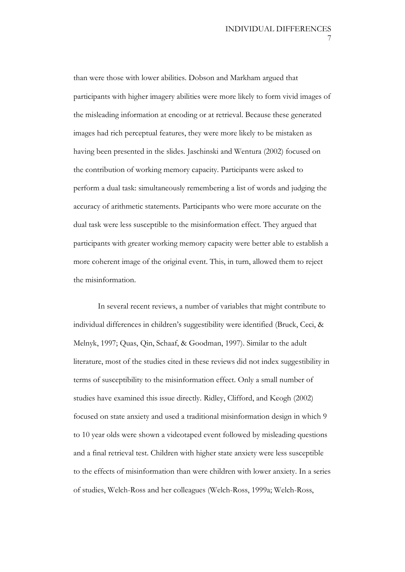than were those with lower abilities. Dobson and Markham argued that participants with higher imagery abilities were more likely to form vivid images of the misleading information at encoding or at retrieval. Because these generated images had rich perceptual features, they were more likely to be mistaken as having been presented in the slides. Jaschinski and Wentura (2002) focused on the contribution of working memory capacity. Participants were asked to perform a dual task: simultaneously remembering a list of words and judging the accuracy of arithmetic statements. Participants who were more accurate on the dual task were less susceptible to the misinformation effect. They argued that participants with greater working memory capacity were better able to establish a more coherent image of the original event. This, in turn, allowed them to reject the misinformation.

In several recent reviews, a number of variables that might contribute to individual differences in children's suggestibility were identified (Bruck, Ceci, & Melnyk, 1997; Quas, Qin, Schaaf, & Goodman, 1997). Similar to the adult literature, most of the studies cited in these reviews did not index suggestibility in terms of susceptibility to the misinformation effect. Only a small number of studies have examined this issue directly. Ridley, Clifford, and Keogh (2002) focused on state anxiety and used a traditional misinformation design in which 9 to 10 year olds were shown a videotaped event followed by misleading questions and a final retrieval test. Children with higher state anxiety were less susceptible to the effects of misinformation than were children with lower anxiety. In a series of studies, Welch-Ross and her colleagues (Welch-Ross, 1999a; Welch-Ross,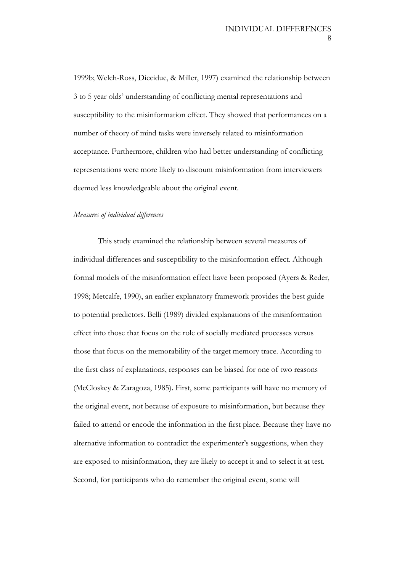1999b; Welch-Ross, Diecidue, & Miller, 1997) examined the relationship between 3 to 5 year olds' understanding of conflicting mental representations and susceptibility to the misinformation effect. They showed that performances on a number of theory of mind tasks were inversely related to misinformation acceptance. Furthermore, children who had better understanding of conflicting representations were more likely to discount misinformation from interviewers deemed less knowledgeable about the original event.

#### *Measures of individual differences*

This study examined the relationship between several measures of individual differences and susceptibility to the misinformation effect. Although formal models of the misinformation effect have been proposed (Ayers & Reder, 1998; Metcalfe, 1990), an earlier explanatory framework provides the best guide to potential predictors. Belli (1989) divided explanations of the misinformation effect into those that focus on the role of socially mediated processes versus those that focus on the memorability of the target memory trace. According to the first class of explanations, responses can be biased for one of two reasons (McCloskey & Zaragoza, 1985). First, some participants will have no memory of the original event, not because of exposure to misinformation, but because they failed to attend or encode the information in the first place. Because they have no alternative information to contradict the experimenter's suggestions, when they are exposed to misinformation, they are likely to accept it and to select it at test. Second, for participants who do remember the original event, some will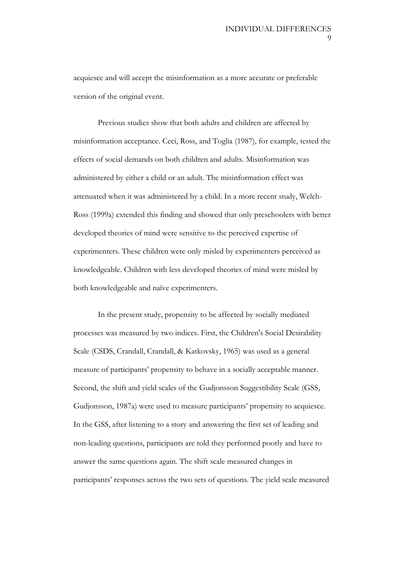acquiesce and will accept the misinformation as a more accurate or preferable version of the original event.

Previous studies show that both adults and children are affected by misinformation acceptance. Ceci, Ross, and Toglia (1987), for example, tested the effects of social demands on both children and adults. Misinformation was administered by either a child or an adult. The misinformation effect was attenuated when it was administered by a child. In a more recent study, Welch-Ross (1999a) extended this finding and showed that only preschoolers with better developed theories of mind were sensitive to the perceived expertise of experimenters. These children were only misled by experimenters perceived as knowledgeable. Children with less developed theories of mind were misled by both knowledgeable and naïve experimenters.

In the present study, propensity to be affected by socially mediated processes was measured by two indices. First, the Children's Social Desirability Scale (CSDS, Crandall, Crandall, & Katkovsky, 1965) was used as a general measure of participants' propensity to behave in a socially acceptable manner. Second, the shift and yield scales of the Gudjonsson Suggestibility Scale (GSS, Gudjonsson, 1987a) were used to measure participants' propensity to acquiesce. In the GSS, after listening to a story and answering the first set of leading and non-leading questions, participants are told they performed poorly and have to answer the same questions again. The shift scale measured changes in participants' responses across the two sets of questions. The yield scale measured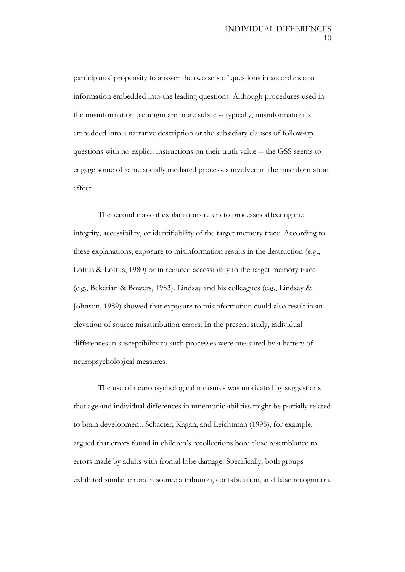participants' propensity to answer the two sets of questions in accordance to information embedded into the leading questions. Although procedures used in the misinformation paradigm are more subtle -- typically, misinformation is embedded into a narrative description or the subsidiary clauses of follow-up questions with no explicit instructions on their truth value -- the GSS seems to engage some of same socially mediated processes involved in the misinformation effect.

The second class of explanations refers to processes affecting the integrity, accessibility, or identifiability of the target memory trace. According to these explanations, exposure to misinformation results in the destruction (e.g., Loftus & Loftus, 1980) or in reduced accessibility to the target memory trace (e.g., Bekerian & Bowers, 1983). Lindsay and his colleagues (e.g., Lindsay & Johnson, 1989) showed that exposure to misinformation could also result in an elevation of source misattribution errors. In the present study, individual differences in susceptibility to such processes were measured by a battery of neuropsychological measures.

The use of neuropsychological measures was motivated by suggestions that age and individual differences in mnemonic abilities might be partially related to brain development. Schacter, Kagan, and Leichtman (1995), for example, argued that errors found in children's recollections bore close resemblance to errors made by adults with frontal lobe damage. Specifically, both groups exhibited similar errors in source attribution, confabulation, and false recognition.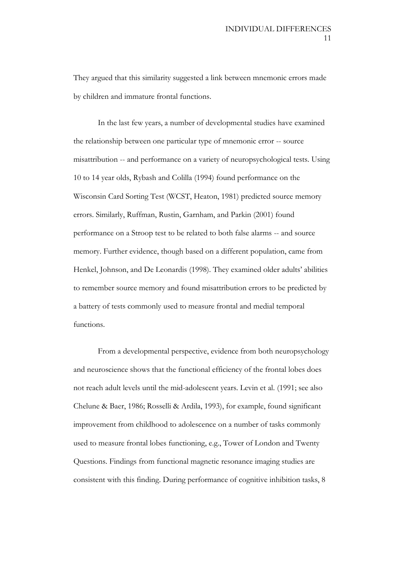They argued that this similarity suggested a link between mnemonic errors made by children and immature frontal functions.

In the last few years, a number of developmental studies have examined the relationship between one particular type of mnemonic error -- source misattribution -- and performance on a variety of neuropsychological tests. Using 10 to 14 year olds, Rybash and Colilla (1994) found performance on the Wisconsin Card Sorting Test (WCST, Heaton, 1981) predicted source memory errors. Similarly, Ruffman, Rustin, Garnham, and Parkin (2001) found performance on a Stroop test to be related to both false alarms -- and source memory. Further evidence, though based on a different population, came from Henkel, Johnson, and De Leonardis (1998). They examined older adults' abilities to remember source memory and found misattribution errors to be predicted by a battery of tests commonly used to measure frontal and medial temporal functions.

From a developmental perspective, evidence from both neuropsychology and neuroscience shows that the functional efficiency of the frontal lobes does not reach adult levels until the mid-adolescent years. Levin et al. (1991; see also Chelune & Baer, 1986; Rosselli & Ardila, 1993), for example, found significant improvement from childhood to adolescence on a number of tasks commonly used to measure frontal lobes functioning, e.g., Tower of London and Twenty Questions. Findings from functional magnetic resonance imaging studies are consistent with this finding. During performance of cognitive inhibition tasks, 8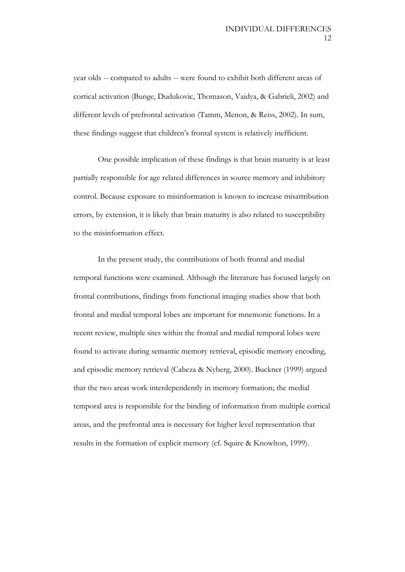year olds -- compared to adults -- were found to exhibit both different areas of cortical activation (Bunge, Dudukovic, Thomason, Vaidya, & Gabrieli, 2002) and different levels of prefrontal activation (Tamm, Menon, & Reiss, 2002). In sum, these findings suggest that children's frontal system is relatively inefficient.

One possible implication of these findings is that brain maturity is at least partially responsible for age related differences in source memory and inhibitory control. Because exposure to misinformation is known to increase misattribution errors, by extension, it is likely that brain maturity is also related to susceptibility to the misinformation effect.

In the present study, the contributions of both frontal and medial temporal functions were examined. Although the literature has focused largely on frontal contributions, findings from functional imaging studies show that both frontal and medial temporal lobes are important for mnemonic functions. In a recent review, multiple sites within the frontal and medial temporal lobes were found to activate during semantic memory retrieval, episodic memory encoding, and episodic memory retrieval (Cabeza & Nyberg, 2000). Buckner (1999) argued that the two areas work interdependently in memory formation; the medial temporal area is responsible for the binding of information from multiple cortical areas, and the prefrontal area is necessary for higher level representation that results in the formation of explicit memory (cf. Squire & Knowlton, 1999).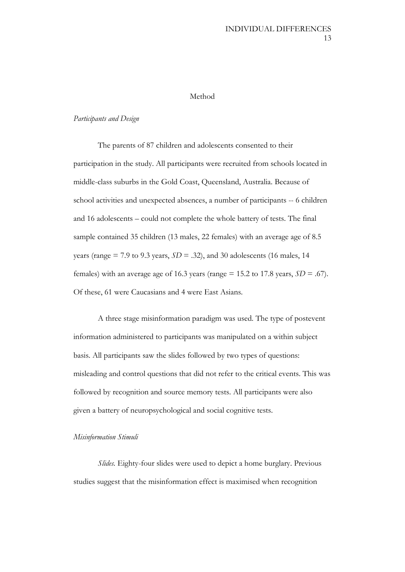#### Method

#### *Participants and Design*

The parents of 87 children and adolescents consented to their participation in the study. All participants were recruited from schools located in middle-class suburbs in the Gold Coast, Queensland, Australia. Because of school activities and unexpected absences, a number of participants -- 6 children and 16 adolescents – could not complete the whole battery of tests. The final sample contained 35 children (13 males, 22 females) with an average age of 8.5 years (range  $= 7.9$  to 9.3 years,  $SD = .32$ ), and 30 adolescents (16 males, 14 females) with an average age of 16.3 years (range  $= 15.2$  to 17.8 years,  $SD = .67$ ). Of these, 61 were Caucasians and 4 were East Asians.

A three stage misinformation paradigm was used. The type of postevent information administered to participants was manipulated on a within subject basis. All participants saw the slides followed by two types of questions: misleading and control questions that did not refer to the critical events. This was followed by recognition and source memory tests. All participants were also given a battery of neuropsychological and social cognitive tests.

#### *Misinformation Stimuli*

*Slides.* Eighty-four slides were used to depict a home burglary. Previous studies suggest that the misinformation effect is maximised when recognition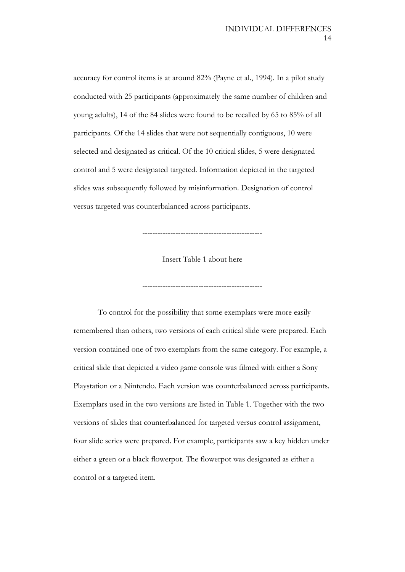accuracy for control items is at around 82% (Payne et al., 1994). In a pilot study conducted with 25 participants (approximately the same number of children and young adults), 14 of the 84 slides were found to be recalled by 65 to 85% of all participants. Of the 14 slides that were not sequentially contiguous, 10 were selected and designated as critical. Of the 10 critical slides, 5 were designated control and 5 were designated targeted. Information depicted in the targeted slides was subsequently followed by misinformation. Designation of control versus targeted was counterbalanced across participants.

Insert Table 1 about here

-----------------------------------------------

-----------------------------------------------

To control for the possibility that some exemplars were more easily remembered than others, two versions of each critical slide were prepared. Each version contained one of two exemplars from the same category. For example, a critical slide that depicted a video game console was filmed with either a Sony Playstation or a Nintendo. Each version was counterbalanced across participants. Exemplars used in the two versions are listed in Table 1. Together with the two versions of slides that counterbalanced for targeted versus control assignment, four slide series were prepared. For example, participants saw a key hidden under either a green or a black flowerpot. The flowerpot was designated as either a control or a targeted item.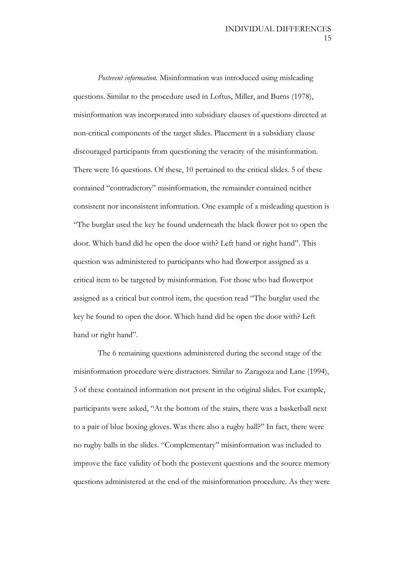*Postevent information.* Misinformation was introduced using misleading questions. Similar to the procedure used in Loftus, Miller, and Burns (1978), misinformation was incorporated into subsidiary clauses of questions directed at non-critical components of the target slides. Placement in a subsidiary clause discouraged participants from questioning the veracity of the misinformation. There were 16 questions. Of these, 10 pertained to the critical slides. 5 of these contained "contradictory" misinformation, the remainder contained neither consistent nor inconsistent information. One example of a misleading question is "The burglar used the key he found underneath the black flower pot to open the door. Which hand did he open the door with? Left hand or right hand". This question was administered to participants who had flowerpot assigned as a critical item to be targeted by misinformation. For those who had flowerpot assigned as a critical but control item, the question read "The burglar used the key he found to open the door. Which hand did he open the door with? Left hand or right hand".

The 6 remaining questions administered during the second stage of the misinformation procedure were distractors. Similar to Zaragoza and Lane (1994), 3 of these contained information not present in the original slides. For example, participants were asked, "At the bottom of the stairs, there was a basketball next to a pair of blue boxing gloves. Was there also a rugby ball?" In fact, there were no rugby balls in the slides. "Complementary" misinformation was included to improve the face validity of both the postevent questions and the source memory questions administered at the end of the misinformation procedure. As they were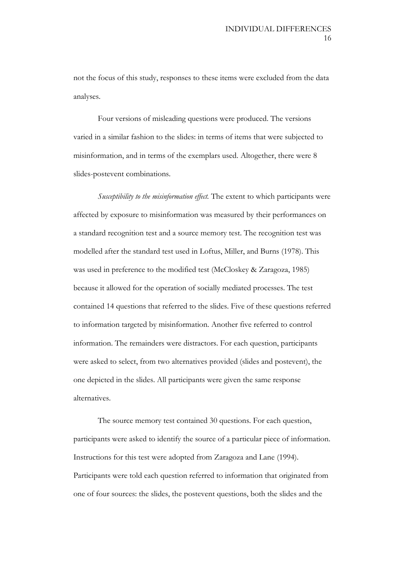not the focus of this study, responses to these items were excluded from the data analyses.

Four versions of misleading questions were produced. The versions varied in a similar fashion to the slides: in terms of items that were subjected to misinformation, and in terms of the exemplars used. Altogether, there were 8 slides-postevent combinations.

*Susceptibility to the misinformation effect.* The extent to which participants were affected by exposure to misinformation was measured by their performances on a standard recognition test and a source memory test. The recognition test was modelled after the standard test used in Loftus, Miller, and Burns (1978). This was used in preference to the modified test (McCloskey & Zaragoza, 1985) because it allowed for the operation of socially mediated processes. The test contained 14 questions that referred to the slides. Five of these questions referred to information targeted by misinformation. Another five referred to control information. The remainders were distractors. For each question, participants were asked to select, from two alternatives provided (slides and postevent), the one depicted in the slides. All participants were given the same response alternatives.

The source memory test contained 30 questions. For each question, participants were asked to identify the source of a particular piece of information. Instructions for this test were adopted from Zaragoza and Lane (1994). Participants were told each question referred to information that originated from one of four sources: the slides, the postevent questions, both the slides and the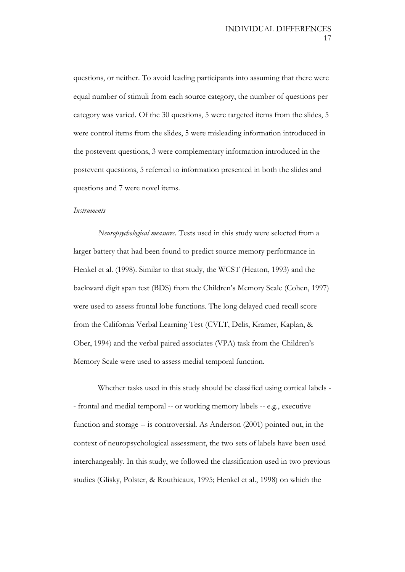questions, or neither. To avoid leading participants into assuming that there were equal number of stimuli from each source category, the number of questions per category was varied. Of the 30 questions, 5 were targeted items from the slides, 5 were control items from the slides, 5 were misleading information introduced in the postevent questions, 3 were complementary information introduced in the postevent questions, 5 referred to information presented in both the slides and questions and 7 were novel items.

#### *Instruments*

*Neuropsychological measures.* Tests used in this study were selected from a larger battery that had been found to predict source memory performance in Henkel et al. (1998). Similar to that study, the WCST (Heaton, 1993) and the backward digit span test (BDS) from the Children's Memory Scale (Cohen, 1997) were used to assess frontal lobe functions. The long delayed cued recall score from the California Verbal Learning Test (CVLT, Delis, Kramer, Kaplan, & Ober, 1994) and the verbal paired associates (VPA) task from the Children's Memory Scale were used to assess medial temporal function.

Whether tasks used in this study should be classified using cortical labels - - frontal and medial temporal -- or working memory labels -- e.g., executive function and storage -- is controversial. As Anderson (2001) pointed out, in the context of neuropsychological assessment, the two sets of labels have been used interchangeably. In this study, we followed the classification used in two previous studies (Glisky, Polster, & Routhieaux, 1995; Henkel et al., 1998) on which the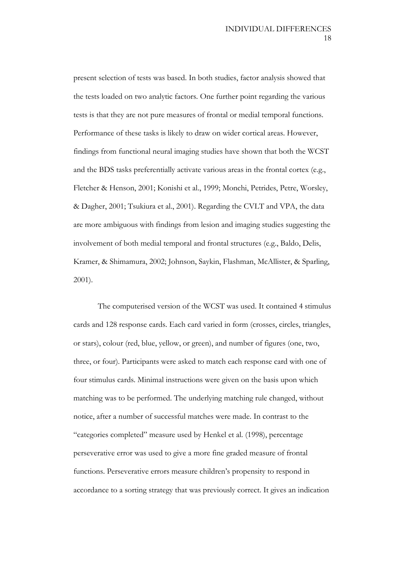present selection of tests was based. In both studies, factor analysis showed that the tests loaded on two analytic factors. One further point regarding the various tests is that they are not pure measures of frontal or medial temporal functions. Performance of these tasks is likely to draw on wider cortical areas. However, findings from functional neural imaging studies have shown that both the WCST and the BDS tasks preferentially activate various areas in the frontal cortex (e.g., Fletcher & Henson, 2001; Konishi et al., 1999; Monchi, Petrides, Petre, Worsley, & Dagher, 2001; Tsukiura et al., 2001). Regarding the CVLT and VPA, the data are more ambiguous with findings from lesion and imaging studies suggesting the involvement of both medial temporal and frontal structures (e.g., Baldo, Delis, Kramer, & Shimamura, 2002; Johnson, Saykin, Flashman, McAllister, & Sparling, 2001).

The computerised version of the WCST was used. It contained 4 stimulus cards and 128 response cards. Each card varied in form (crosses, circles, triangles, or stars), colour (red, blue, yellow, or green), and number of figures (one, two, three, or four). Participants were asked to match each response card with one of four stimulus cards. Minimal instructions were given on the basis upon which matching was to be performed. The underlying matching rule changed, without notice, after a number of successful matches were made. In contrast to the "categories completed" measure used by Henkel et al. (1998), percentage perseverative error was used to give a more fine graded measure of frontal functions. Perseverative errors measure children's propensity to respond in accordance to a sorting strategy that was previously correct. It gives an indication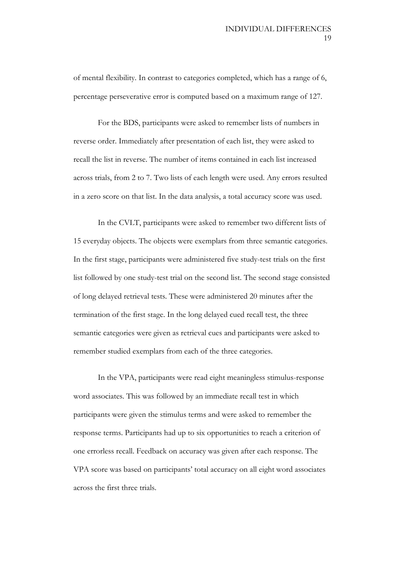of mental flexibility. In contrast to categories completed, which has a range of 6, percentage perseverative error is computed based on a maximum range of 127.

For the BDS, participants were asked to remember lists of numbers in reverse order. Immediately after presentation of each list, they were asked to recall the list in reverse. The number of items contained in each list increased across trials, from 2 to 7. Two lists of each length were used. Any errors resulted in a zero score on that list. In the data analysis, a total accuracy score was used.

In the CVLT, participants were asked to remember two different lists of 15 everyday objects. The objects were exemplars from three semantic categories. In the first stage, participants were administered five study-test trials on the first list followed by one study-test trial on the second list. The second stage consisted of long delayed retrieval tests. These were administered 20 minutes after the termination of the first stage. In the long delayed cued recall test, the three semantic categories were given as retrieval cues and participants were asked to remember studied exemplars from each of the three categories.

In the VPA, participants were read eight meaningless stimulus-response word associates. This was followed by an immediate recall test in which participants were given the stimulus terms and were asked to remember the response terms. Participants had up to six opportunities to reach a criterion of one errorless recall. Feedback on accuracy was given after each response. The VPA score was based on participants' total accuracy on all eight word associates across the first three trials.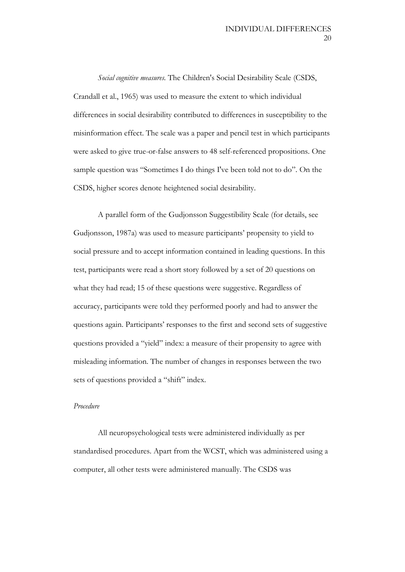*Social cognitive measures.* The Children's Social Desirability Scale (CSDS, Crandall et al., 1965) was used to measure the extent to which individual differences in social desirability contributed to differences in susceptibility to the misinformation effect. The scale was a paper and pencil test in which participants were asked to give true-or-false answers to 48 self-referenced propositions. One sample question was "Sometimes I do things I've been told not to do". On the CSDS, higher scores denote heightened social desirability.

A parallel form of the Gudjonsson Suggestibility Scale (for details, see Gudjonsson, 1987a) was used to measure participants' propensity to yield to social pressure and to accept information contained in leading questions. In this test, participants were read a short story followed by a set of 20 questions on what they had read; 15 of these questions were suggestive. Regardless of accuracy, participants were told they performed poorly and had to answer the questions again. Participants' responses to the first and second sets of suggestive questions provided a "yield" index: a measure of their propensity to agree with misleading information. The number of changes in responses between the two sets of questions provided a "shift" index.

#### *Procedure*

All neuropsychological tests were administered individually as per standardised procedures. Apart from the WCST, which was administered using a computer, all other tests were administered manually. The CSDS was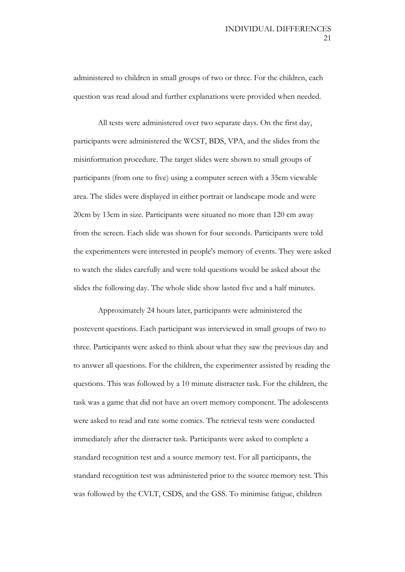administered to children in small groups of two or three. For the children, each question was read aloud and further explanations were provided when needed.

All tests were administered over two separate days. On the first day, participants were administered the WCST, BDS, VPA, and the slides from the misinformation procedure. The target slides were shown to small groups of participants (from one to five) using a computer screen with a 35cm viewable area. The slides were displayed in either portrait or landscape mode and were 20cm by 13cm in size. Participants were situated no more than 120 cm away from the screen. Each slide was shown for four seconds. Participants were told the experimenters were interested in people's memory of events. They were asked to watch the slides carefully and were told questions would be asked about the slides the following day. The whole slide show lasted five and a half minutes.

Approximately 24 hours later, participants were administered the postevent questions. Each participant was interviewed in small groups of two to three. Participants were asked to think about what they saw the previous day and to answer all questions. For the children, the experimenter assisted by reading the questions. This was followed by a 10 minute distracter task. For the children, the task was a game that did not have an overt memory component. The adolescents were asked to read and rate some comics. The retrieval tests were conducted immediately after the distracter task. Participants were asked to complete a standard recognition test and a source memory test. For all participants, the standard recognition test was administered prior to the source memory test. This was followed by the CVLT, CSDS, and the GSS. To minimise fatigue, children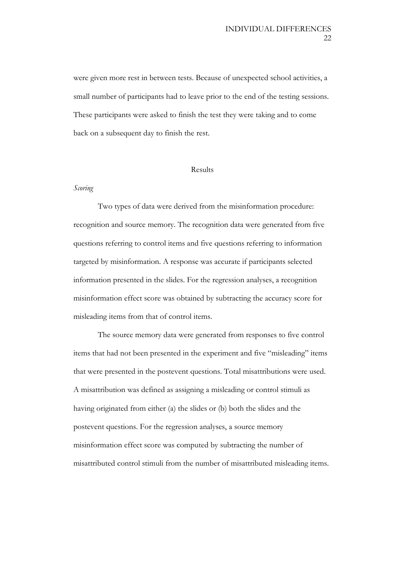were given more rest in between tests. Because of unexpected school activities, a small number of participants had to leave prior to the end of the testing sessions. These participants were asked to finish the test they were taking and to come back on a subsequent day to finish the rest.

#### Results

#### *Scoring*

Two types of data were derived from the misinformation procedure: recognition and source memory. The recognition data were generated from five questions referring to control items and five questions referring to information targeted by misinformation. A response was accurate if participants selected information presented in the slides. For the regression analyses, a recognition misinformation effect score was obtained by subtracting the accuracy score for misleading items from that of control items.

The source memory data were generated from responses to five control items that had not been presented in the experiment and five "misleading" items that were presented in the postevent questions. Total misattributions were used. A misattribution was defined as assigning a misleading or control stimuli as having originated from either (a) the slides or (b) both the slides and the postevent questions. For the regression analyses, a source memory misinformation effect score was computed by subtracting the number of misattributed control stimuli from the number of misattributed misleading items.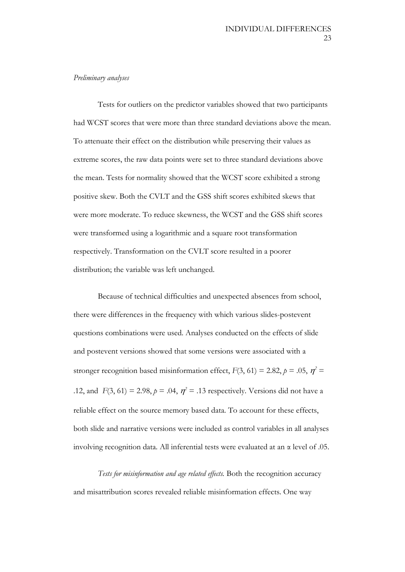#### *Preliminary analyses*

Tests for outliers on the predictor variables showed that two participants had WCST scores that were more than three standard deviations above the mean. To attenuate their effect on the distribution while preserving their values as extreme scores, the raw data points were set to three standard deviations above the mean. Tests for normality showed that the WCST score exhibited a strong positive skew. Both the CVLT and the GSS shift scores exhibited skews that were more moderate. To reduce skewness, the WCST and the GSS shift scores were transformed using a logarithmic and a square root transformation respectively. Transformation on the CVLT score resulted in a poorer distribution; the variable was left unchanged.

Because of technical difficulties and unexpected absences from school, there were differences in the frequency with which various slides-postevent questions combinations were used. Analyses conducted on the effects of slide and postevent versions showed that some versions were associated with a stronger recognition based misinformation effect,  $F(3, 61) = 2.82$ ,  $p = .05$ ,  $p^2 =$ .12, and  $F(3, 61) = 2.98$ ,  $p = .04$ ,  $p^2 = .13$  respectively. Versions did not have a reliable effect on the source memory based data. To account for these effects, both slide and narrative versions were included as control variables in all analyses involving recognition data. All inferential tests were evaluated at an  $\alpha$  level of .05.

*Tests for misinformation and age related effects.* Both the recognition accuracy and misattribution scores revealed reliable misinformation effects. One way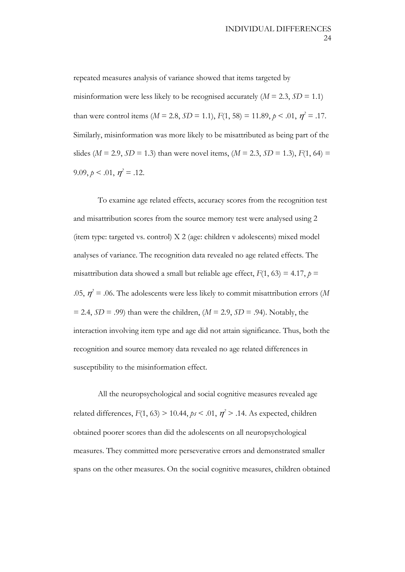repeated measures analysis of variance showed that items targeted by misinformation were less likely to be recognised accurately  $(M = 2.3, SD = 1.1)$ than were control items ( $M = 2.8$ ,  $SD = 1.1$ ),  $F(1, 58) = 11.89$ ,  $p < .01$ ,  $\eta^2 = .17$ . Similarly, misinformation was more likely to be misattributed as being part of the slides ( $M = 2.9$ ,  $SD = 1.3$ ) than were novel items, ( $M = 2.3$ ,  $SD = 1.3$ ),  $F(1, 64) =$ 9.09,  $p < .01$ ,  $\eta^2 = .12$ .

To examine age related effects, accuracy scores from the recognition test and misattribution scores from the source memory test were analysed using 2 (item type: targeted vs. control) X 2 (age: children v adolescents) mixed model analyses of variance. The recognition data revealed no age related effects. The misattribution data showed a small but reliable age effect,  $F(1, 63) = 4.17$ ,  $p =$ .05,  $\eta^2$  = .06. The adolescents were less likely to commit misattribution errors (*M*  $= 2.4$ ,  $SD = .99$ ) than were the children,  $(M = 2.9, SD = .94)$ . Notably, the interaction involving item type and age did not attain significance. Thus, both the recognition and source memory data revealed no age related differences in susceptibility to the misinformation effect.

All the neuropsychological and social cognitive measures revealed age related differences,  $F(1, 63) > 10.44$ ,  $ps < 0.01$ ,  $\eta^2 > 0.14$ . As expected, children obtained poorer scores than did the adolescents on all neuropsychological measures. They committed more perseverative errors and demonstrated smaller spans on the other measures. On the social cognitive measures, children obtained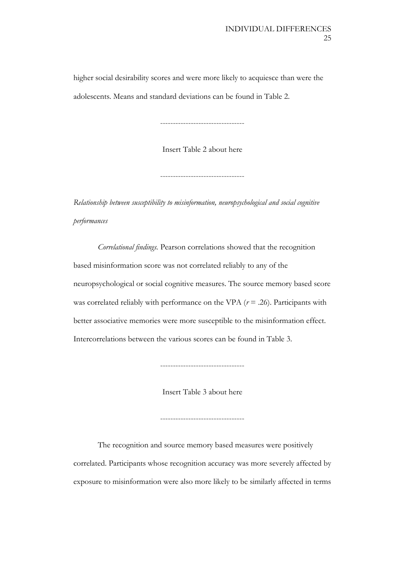higher social desirability scores and were more likely to acquiesce than were the adolescents. Means and standard deviations can be found in Table 2.

---------------------------------

Insert Table 2 about here

---------------------------------

*Relationship between susceptibility to misinformation, neuropsychological and social cognitive performances*

*Correlational findings.* Pearson correlations showed that the recognition based misinformation score was not correlated reliably to any of the neuropsychological or social cognitive measures. The source memory based score was correlated reliably with performance on the VPA  $(r = .26)$ . Participants with better associative memories were more susceptible to the misinformation effect. Intercorrelations between the various scores can be found in Table 3.

---------------------------------

Insert Table 3 about here

---------------------------------

The recognition and source memory based measures were positively correlated. Participants whose recognition accuracy was more severely affected by exposure to misinformation were also more likely to be similarly affected in terms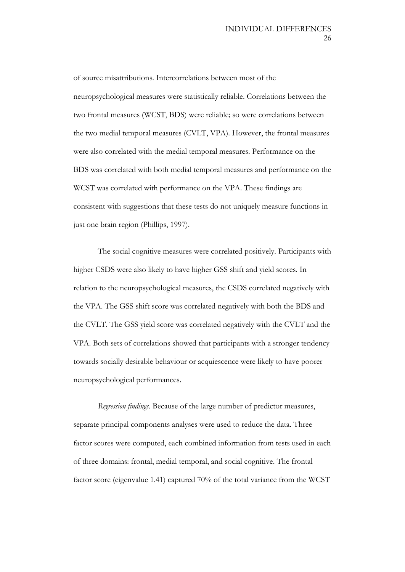of source misattributions. Intercorrelations between most of the neuropsychological measures were statistically reliable. Correlations between the two frontal measures (WCST, BDS) were reliable; so were correlations between the two medial temporal measures (CVLT, VPA). However, the frontal measures were also correlated with the medial temporal measures. Performance on the BDS was correlated with both medial temporal measures and performance on the WCST was correlated with performance on the VPA. These findings are consistent with suggestions that these tests do not uniquely measure functions in just one brain region (Phillips, 1997).

The social cognitive measures were correlated positively. Participants with higher CSDS were also likely to have higher GSS shift and yield scores. In relation to the neuropsychological measures, the CSDS correlated negatively with the VPA. The GSS shift score was correlated negatively with both the BDS and the CVLT. The GSS yield score was correlated negatively with the CVLT and the VPA. Both sets of correlations showed that participants with a stronger tendency towards socially desirable behaviour or acquiescence were likely to have poorer neuropsychological performances.

*Regression findings.* Because of the large number of predictor measures, separate principal components analyses were used to reduce the data. Three factor scores were computed, each combined information from tests used in each of three domains: frontal, medial temporal, and social cognitive. The frontal factor score (eigenvalue 1.41) captured 70% of the total variance from the WCST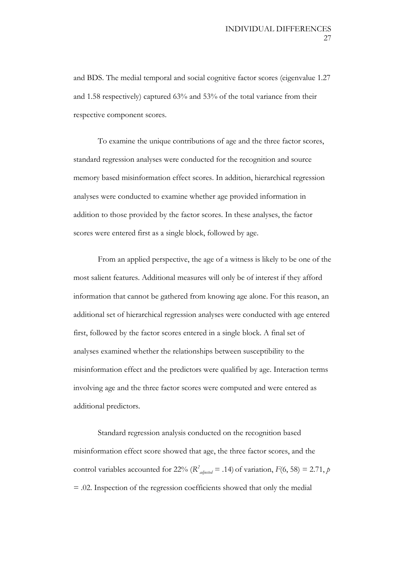and BDS. The medial temporal and social cognitive factor scores (eigenvalue 1.27 and 1.58 respectively) captured 63% and 53% of the total variance from their respective component scores.

To examine the unique contributions of age and the three factor scores, standard regression analyses were conducted for the recognition and source memory based misinformation effect scores. In addition, hierarchical regression analyses were conducted to examine whether age provided information in addition to those provided by the factor scores. In these analyses, the factor scores were entered first as a single block, followed by age.

From an applied perspective, the age of a witness is likely to be one of the most salient features. Additional measures will only be of interest if they afford information that cannot be gathered from knowing age alone. For this reason, an additional set of hierarchical regression analyses were conducted with age entered first, followed by the factor scores entered in a single block. A final set of analyses examined whether the relationships between susceptibility to the misinformation effect and the predictors were qualified by age. Interaction terms involving age and the three factor scores were computed and were entered as additional predictors.

Standard regression analysis conducted on the recognition based misinformation effect score showed that age, the three factor scores, and the control variables accounted for 22% ( $R^2$ <sub>adjusted</sub> = .14) of variation,  $F(6, 58) = 2.71$ , *p* = .02. Inspection of the regression coefficients showed that only the medial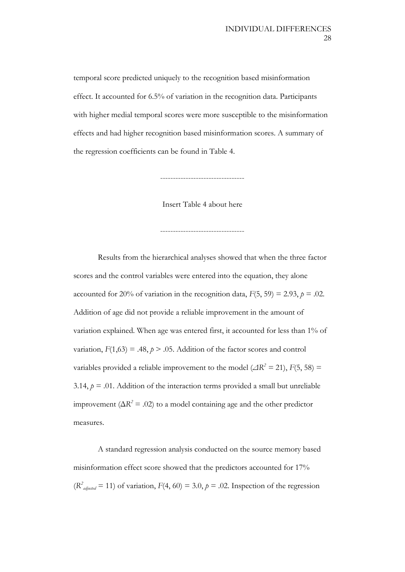temporal score predicted uniquely to the recognition based misinformation effect. It accounted for 6.5% of variation in the recognition data. Participants with higher medial temporal scores were more susceptible to the misinformation effects and had higher recognition based misinformation scores. A summary of the regression coefficients can be found in Table 4.

---------------------------------

Insert Table 4 about here

---------------------------------

Results from the hierarchical analyses showed that when the three factor scores and the control variables were entered into the equation, they alone accounted for 20% of variation in the recognition data,  $F(5, 59) = 2.93$ ,  $p = .02$ . Addition of age did not provide a reliable improvement in the amount of variation explained. When age was entered first, it accounted for less than 1% of variation,  $F(1,63) = .48$ ,  $p > .05$ . Addition of the factor scores and control variables provided a reliable improvement to the model ( $\angle$ IR<sup>2</sup> = 21), *F*(5, 58) = 3.14,  $p = 0.01$ . Addition of the interaction terms provided a small but unreliable improvement ( $\Delta R^2 = .02$ ) to a model containing age and the other predictor measures.

A standard regression analysis conducted on the source memory based misinformation effect score showed that the predictors accounted for 17%  $(R<sup>2</sup><sub>adjusted</sub> = 11)$  of variation,  $F(4, 60) = 3.0, p = .02$ . Inspection of the regression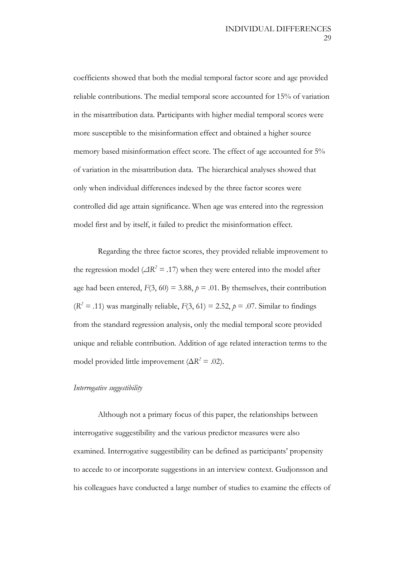coefficients showed that both the medial temporal factor score and age provided reliable contributions. The medial temporal score accounted for 15% of variation in the misattribution data. Participants with higher medial temporal scores were more susceptible to the misinformation effect and obtained a higher source memory based misinformation effect score. The effect of age accounted for 5% of variation in the misattribution data. The hierarchical analyses showed that only when individual differences indexed by the three factor scores were controlled did age attain significance. When age was entered into the regression model first and by itself, it failed to predict the misinformation effect.

Regarding the three factor scores, they provided reliable improvement to the regression model ( $\Delta R^2 = .17$ ) when they were entered into the model after age had been entered,  $F(3, 60) = 3.88$ ,  $p = .01$ . By themselves, their contribution  $(R<sup>2</sup> = .11)$  was marginally reliable,  $F(3, 61) = 2.52$ ,  $p = .07$ . Similar to findings from the standard regression analysis, only the medial temporal score provided unique and reliable contribution. Addition of age related interaction terms to the model provided little improvement ( $\Delta R^2 = .02$ ).

#### *Interrogative suggestibility*

Although not a primary focus of this paper, the relationships between interrogative suggestibility and the various predictor measures were also examined. Interrogative suggestibility can be defined as participants' propensity to accede to or incorporate suggestions in an interview context. Gudjonsson and his colleagues have conducted a large number of studies to examine the effects of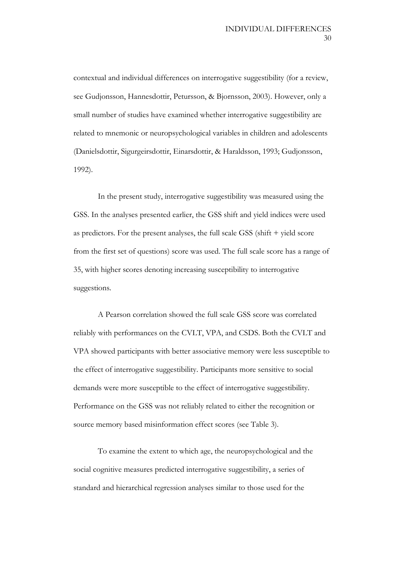contextual and individual differences on interrogative suggestibility (for a review, see Gudjonsson, Hannesdottir, Petursson, & Bjornsson, 2003). However, only a small number of studies have examined whether interrogative suggestibility are related to mnemonic or neuropsychological variables in children and adolescents (Danielsdottir, Sigurgeirsdottir, Einarsdottir, & Haraldsson, 1993; Gudjonsson, 1992).

In the present study, interrogative suggestibility was measured using the GSS. In the analyses presented earlier, the GSS shift and yield indices were used as predictors. For the present analyses, the full scale GSS (shift + yield score from the first set of questions) score was used. The full scale score has a range of 35, with higher scores denoting increasing susceptibility to interrogative suggestions.

A Pearson correlation showed the full scale GSS score was correlated reliably with performances on the CVLT, VPA, and CSDS. Both the CVLT and VPA showed participants with better associative memory were less susceptible to the effect of interrogative suggestibility. Participants more sensitive to social demands were more susceptible to the effect of interrogative suggestibility. Performance on the GSS was not reliably related to either the recognition or source memory based misinformation effect scores (see Table 3).

To examine the extent to which age, the neuropsychological and the social cognitive measures predicted interrogative suggestibility, a series of standard and hierarchical regression analyses similar to those used for the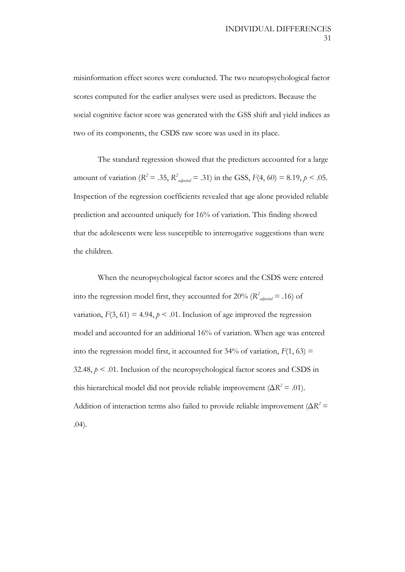misinformation effect scores were conducted. The two neuropsychological factor scores computed for the earlier analyses were used as predictors. Because the social cognitive factor score was generated with the GSS shift and yield indices as two of its components, the CSDS raw score was used in its place.

The standard regression showed that the predictors accounted for a large amount of variation ( $R^2 = .35$ ,  $R^2$ <sub>adjusted</sub> = .31) in the GSS,  $F(4, 60) = 8.19$ ,  $p < .05$ . Inspection of the regression coefficients revealed that age alone provided reliable prediction and accounted uniquely for 16% of variation. This finding showed that the adolescents were less susceptible to interrogative suggestions than were the children.

When the neuropsychological factor scores and the CSDS were entered into the regression model first, they accounted for 20% ( $R^2$ <sub>adjusted</sub> = .16) of variation,  $F(3, 61) = 4.94$ ,  $p < .01$ . Inclusion of age improved the regression model and accounted for an additional 16% of variation. When age was entered into the regression model first, it accounted for  $34\%$  of variation,  $F(1, 63) =$ 32.48,  $p < 0.01$ . Inclusion of the neuropsychological factor scores and CSDS in this hierarchical model did not provide reliable improvement ( $\Delta R^2 = .01$ ). Addition of interaction terms also failed to provide reliable improvement ( $\Delta R^2$  = .04).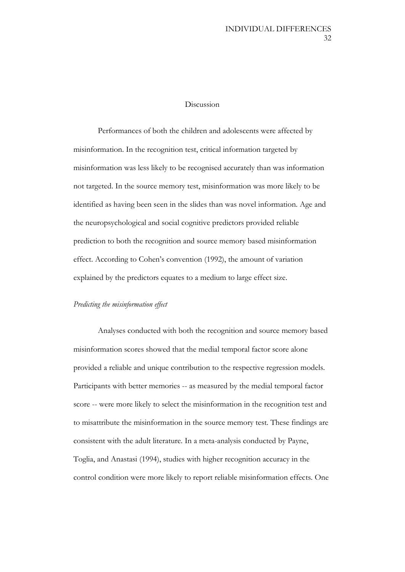#### Discussion

Performances of both the children and adolescents were affected by misinformation. In the recognition test, critical information targeted by misinformation was less likely to be recognised accurately than was information not targeted. In the source memory test, misinformation was more likely to be identified as having been seen in the slides than was novel information. Age and the neuropsychological and social cognitive predictors provided reliable prediction to both the recognition and source memory based misinformation effect. According to Cohen's convention (1992), the amount of variation explained by the predictors equates to a medium to large effect size.

#### *Predicting the misinformation effect*

Analyses conducted with both the recognition and source memory based misinformation scores showed that the medial temporal factor score alone provided a reliable and unique contribution to the respective regression models. Participants with better memories -- as measured by the medial temporal factor score -- were more likely to select the misinformation in the recognition test and to misattribute the misinformation in the source memory test. These findings are consistent with the adult literature. In a meta-analysis conducted by Payne, Toglia, and Anastasi (1994), studies with higher recognition accuracy in the control condition were more likely to report reliable misinformation effects. One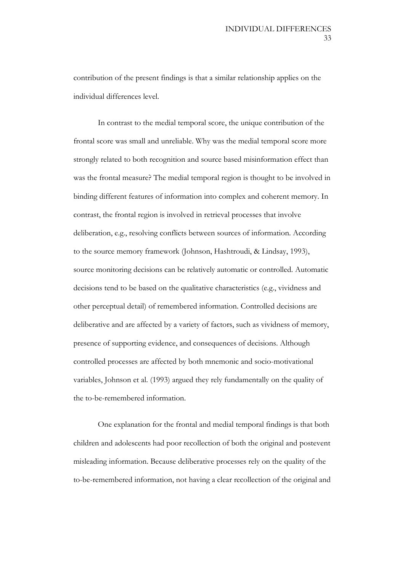contribution of the present findings is that a similar relationship applies on the individual differences level.

In contrast to the medial temporal score, the unique contribution of the frontal score was small and unreliable. Why was the medial temporal score more strongly related to both recognition and source based misinformation effect than was the frontal measure? The medial temporal region is thought to be involved in binding different features of information into complex and coherent memory. In contrast, the frontal region is involved in retrieval processes that involve deliberation, e.g., resolving conflicts between sources of information. According to the source memory framework (Johnson, Hashtroudi, & Lindsay, 1993), source monitoring decisions can be relatively automatic or controlled. Automatic decisions tend to be based on the qualitative characteristics (e.g., vividness and other perceptual detail) of remembered information. Controlled decisions are deliberative and are affected by a variety of factors, such as vividness of memory, presence of supporting evidence, and consequences of decisions. Although controlled processes are affected by both mnemonic and socio-motivational variables, Johnson et al. (1993) argued they rely fundamentally on the quality of the to-be-remembered information.

One explanation for the frontal and medial temporal findings is that both children and adolescents had poor recollection of both the original and postevent misleading information. Because deliberative processes rely on the quality of the to-be-remembered information, not having a clear recollection of the original and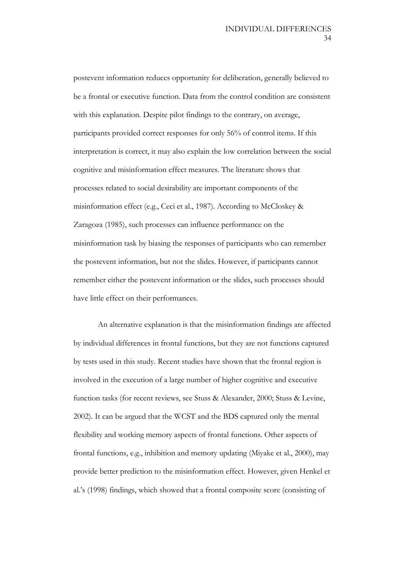postevent information reduces opportunity for deliberation, generally believed to be a frontal or executive function. Data from the control condition are consistent with this explanation. Despite pilot findings to the contrary, on average, participants provided correct responses for only 56% of control items. If this interpretation is correct, it may also explain the low correlation between the social cognitive and misinformation effect measures. The literature shows that processes related to social desirability are important components of the misinformation effect (e.g., Ceci et al., 1987). According to McCloskey & Zaragoza (1985), such processes can influence performance on the misinformation task by biasing the responses of participants who can remember the postevent information, but not the slides. However, if participants cannot remember either the postevent information or the slides, such processes should have little effect on their performances.

An alternative explanation is that the misinformation findings are affected by individual differences in frontal functions, but they are not functions captured by tests used in this study. Recent studies have shown that the frontal region is involved in the execution of a large number of higher cognitive and executive function tasks (for recent reviews, see Stuss & Alexander, 2000; Stuss & Levine, 2002). It can be argued that the WCST and the BDS captured only the mental flexibility and working memory aspects of frontal functions. Other aspects of frontal functions, e.g., inhibition and memory updating (Miyake et al., 2000), may provide better prediction to the misinformation effect. However, given Henkel et al.'s (1998) findings, which showed that a frontal composite score (consisting of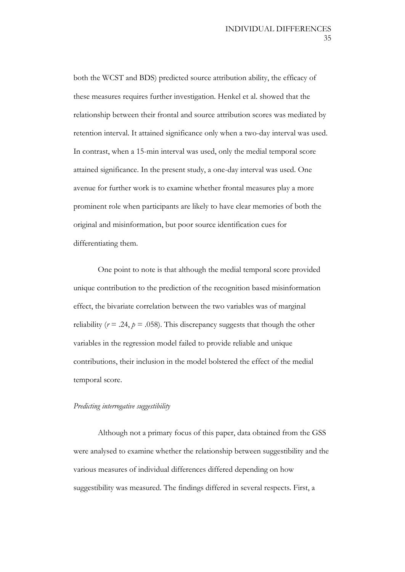both the WCST and BDS) predicted source attribution ability, the efficacy of these measures requires further investigation. Henkel et al. showed that the relationship between their frontal and source attribution scores was mediated by retention interval. It attained significance only when a two-day interval was used. In contrast, when a 15-min interval was used, only the medial temporal score attained significance. In the present study, a one-day interval was used. One avenue for further work is to examine whether frontal measures play a more prominent role when participants are likely to have clear memories of both the original and misinformation, but poor source identification cues for differentiating them.

One point to note is that although the medial temporal score provided unique contribution to the prediction of the recognition based misinformation effect, the bivariate correlation between the two variables was of marginal reliability ( $r = .24$ ,  $p = .058$ ). This discrepancy suggests that though the other variables in the regression model failed to provide reliable and unique contributions, their inclusion in the model bolstered the effect of the medial temporal score.

#### *Predicting interrogative suggestibility*

Although not a primary focus of this paper, data obtained from the GSS were analysed to examine whether the relationship between suggestibility and the various measures of individual differences differed depending on how suggestibility was measured. The findings differed in several respects. First, a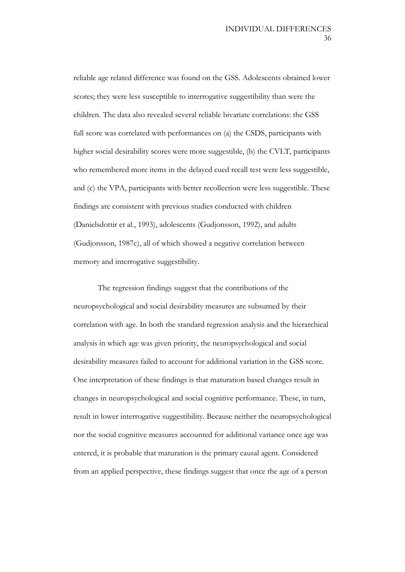reliable age related difference was found on the GSS. Adolescents obtained lower scores; they were less susceptible to interrogative suggestibility than were the children. The data also revealed several reliable bivariate correlations: the GSS full score was correlated with performances on (a) the CSDS, participants with higher social desirability scores were more suggestible, (b) the CVLT, participants who remembered more items in the delayed cued recall test were less suggestible, and (c) the VPA, participants with better recollection were less suggestible. These findings are consistent with previous studies conducted with children (Danielsdottir et al., 1993), adolescents (Gudjonsson, 1992), and adults (Gudjonsson, 1987c), all of which showed a negative correlation between memory and interrogative suggestibility.

The regression findings suggest that the contributions of the neuropsychological and social desirability measures are subsumed by their correlation with age. In both the standard regression analysis and the hierarchical analysis in which age was given priority, the neuropsychological and social desirability measures failed to account for additional variation in the GSS score. One interpretation of these findings is that maturation based changes result in changes in neuropsychological and social cognitive performance. These, in turn, result in lower interrogative suggestibility. Because neither the neuropsychological nor the social cognitive measures accounted for additional variance once age was entered, it is probable that maturation is the primary causal agent. Considered from an applied perspective, these findings suggest that once the age of a person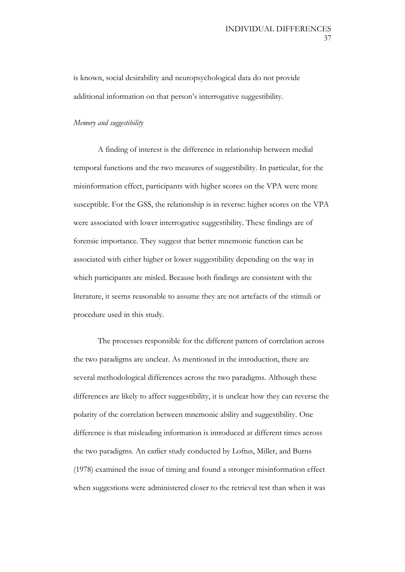is known, social desirability and neuropsychological data do not provide additional information on that person's interrogative suggestibility.

### *Memory and suggestibility*

A finding of interest is the difference in relationship between medial temporal functions and the two measures of suggestibility. In particular, for the misinformation effect, participants with higher scores on the VPA were more susceptible. For the GSS, the relationship is in reverse: higher scores on the VPA were associated with lower interrogative suggestibility. These findings are of forensic importance. They suggest that better mnemonic function can be associated with either higher or lower suggestibility depending on the way in which participants are misled. Because both findings are consistent with the literature, it seems reasonable to assume they are not artefacts of the stimuli or procedure used in this study.

The processes responsible for the different pattern of correlation across the two paradigms are unclear. As mentioned in the introduction, there are several methodological differences across the two paradigms. Although these differences are likely to affect suggestibility, it is unclear how they can reverse the polarity of the correlation between mnemonic ability and suggestibility. One difference is that misleading information is introduced at different times across the two paradigms. An earlier study conducted by Loftus, Miller, and Burns (1978) examined the issue of timing and found a stronger misinformation effect when suggestions were administered closer to the retrieval test than when it was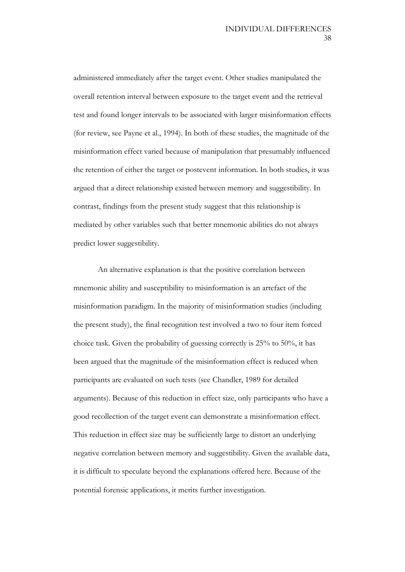administered immediately after the target event. Other studies manipulated the overall retention interval between exposure to the target event and the retrieval test and found longer intervals to be associated with larger misinformation effects (for review, see Payne et al., 1994). In both of these studies, the magnitude of the misinformation effect varied because of manipulation that presumably influenced the retention of either the target or postevent information. In both studies, it was argued that a direct relationship existed between memory and suggestibility. In contrast, findings from the present study suggest that this relationship is mediated by other variables such that better mnemonic abilities do not always predict lower suggestibility.

An alternative explanation is that the positive correlation between mnemonic ability and susceptibility to misinformation is an artefact of the misinformation paradigm. In the majority of misinformation studies (including the present study), the final recognition test involved a two to four item forced choice task. Given the probability of guessing correctly is 25% to 50%, it has been argued that the magnitude of the misinformation effect is reduced when participants are evaluated on such tests (see Chandler, 1989 for detailed arguments). Because of this reduction in effect size, only participants who have a good recollection of the target event can demonstrate a misinformation effect. This reduction in effect size may be sufficiently large to distort an underlying negative correlation between memory and suggestibility. Given the available data, it is difficult to speculate beyond the explanations offered here. Because of the potential forensic applications, it merits further investigation.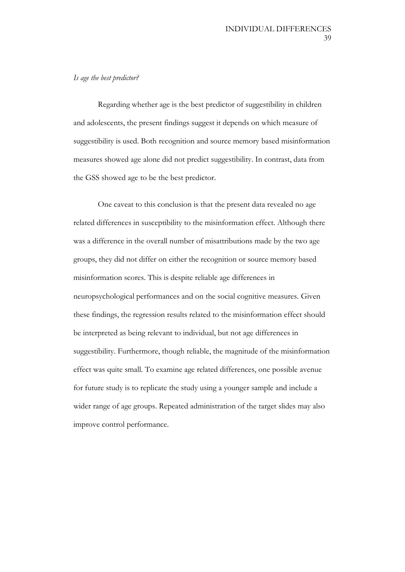## *Is age the best predictor?*

Regarding whether age is the best predictor of suggestibility in children and adolescents, the present findings suggest it depends on which measure of suggestibility is used. Both recognition and source memory based misinformation measures showed age alone did not predict suggestibility. In contrast, data from the GSS showed age to be the best predictor.

One caveat to this conclusion is that the present data revealed no age related differences in susceptibility to the misinformation effect. Although there was a difference in the overall number of misattributions made by the two age groups, they did not differ on either the recognition or source memory based misinformation scores. This is despite reliable age differences in neuropsychological performances and on the social cognitive measures. Given these findings, the regression results related to the misinformation effect should be interpreted as being relevant to individual, but not age differences in suggestibility. Furthermore, though reliable, the magnitude of the misinformation effect was quite small. To examine age related differences, one possible avenue for future study is to replicate the study using a younger sample and include a wider range of age groups. Repeated administration of the target slides may also improve control performance.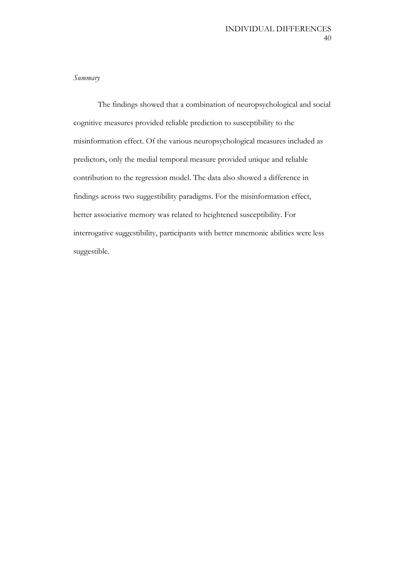### *Summary*

The findings showed that a combination of neuropsychological and social cognitive measures provided reliable prediction to susceptibility to the misinformation effect. Of the various neuropsychological measures included as predictors, only the medial temporal measure provided unique and reliable contribution to the regression model. The data also showed a difference in findings across two suggestibility paradigms. For the misinformation effect, better associative memory was related to heightened susceptibility. For interrogative suggestibility, participants with better mnemonic abilities were less suggestible.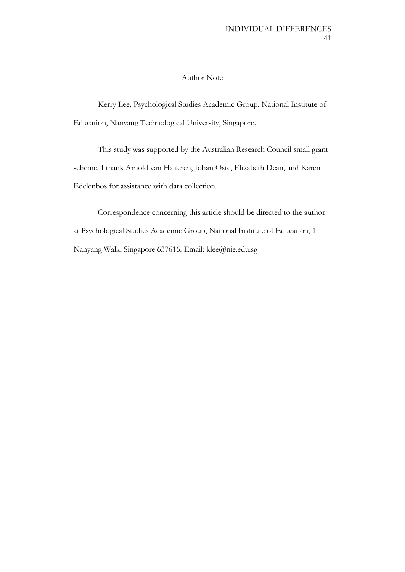### Author Note

Kerry Lee, Psychological Studies Academic Group, National Institute of Education, Nanyang Technological University, Singapore.

This study was supported by the Australian Research Council small grant scheme. I thank Arnold van Halteren, Johan Oste, Elizabeth Dean, and Karen Edelenbos for assistance with data collection.

Correspondence concerning this article should be directed to the author at Psychological Studies Academic Group, National Institute of Education, 1 Nanyang Walk, Singapore 637616. Email: klee@nie.edu.sg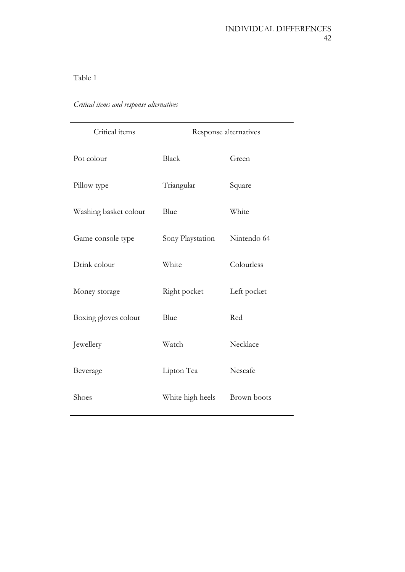| Critical items        | Response alternatives |             |  |  |  |
|-----------------------|-----------------------|-------------|--|--|--|
| Pot colour            | <b>Black</b>          | Green       |  |  |  |
| Pillow type           | Triangular            | Square      |  |  |  |
| Washing basket colour | Blue                  | White       |  |  |  |
| Game console type     | Sony Playstation      | Nintendo 64 |  |  |  |
| Drink colour          | White                 | Colourless  |  |  |  |
| Money storage         | Right pocket          | Left pocket |  |  |  |
| Boxing gloves colour  | Blue                  | Red         |  |  |  |
| Jewellery             | Watch                 | Necklace    |  |  |  |
| Beverage              | Lipton Tea            | Nescafe     |  |  |  |
| Shoes                 | White high heels      | Brown boots |  |  |  |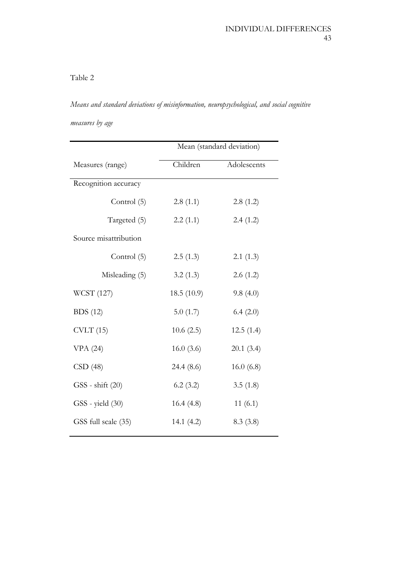*Means and standard deviations of misinformation, neuropsychological, and social cognitive measures by age*

|                       | Mean (standard deviation) |             |  |  |  |  |
|-----------------------|---------------------------|-------------|--|--|--|--|
| Measures (range)      | Children                  | Adolescents |  |  |  |  |
| Recognition accuracy  |                           |             |  |  |  |  |
| Control (5)           | 2.8(1.1)                  | 2.8(1.2)    |  |  |  |  |
| Targeted (5)          | 2.2(1.1)                  | 2.4(1.2)    |  |  |  |  |
| Source misattribution |                           |             |  |  |  |  |
| Control (5)           | 2.5(1.3)                  | 2.1(1.3)    |  |  |  |  |
| Misleading (5)        | 3.2(1.3)                  | 2.6(1.2)    |  |  |  |  |
| WCST (127)            | 18.5(10.9)                | 9.8(4.0)    |  |  |  |  |
| <b>BDS</b> (12)       | 5.0(1.7)                  | 6.4(2.0)    |  |  |  |  |
| CVIT(15)              | 10.6(2.5)                 | 12.5(1.4)   |  |  |  |  |
| VPA(24)               | 16.0(3.6)                 | 20.1(3.4)   |  |  |  |  |
| CSD(48)               | 24.4 (8.6)                | 16.0(6.8)   |  |  |  |  |
| GSS - shift (20)      | 6.2(3.2)                  | 3.5(1.8)    |  |  |  |  |
| GSS - yield (30)      | 16.4(4.8)                 | 11(6.1)     |  |  |  |  |
| GSS full scale (35)   | 14.1 $(4.2)$              | 8.3(3.8)    |  |  |  |  |
|                       |                           |             |  |  |  |  |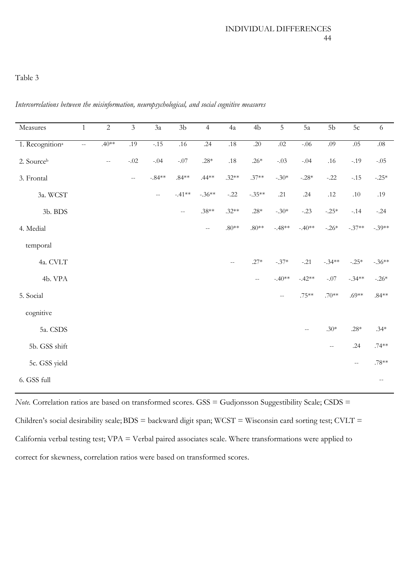| Measures                    | $\mathbf{1}$   | $\sqrt{2}$                                    | $\mathfrak{Z}$ | 3a                                            | $3\mathrm{b}$            | $\overline{4}$ | 4a            | 4 <sub>b</sub> | 5             | 5a                                            | 5 <sub>b</sub> | 5c                                            | $\sqrt{6}$               |
|-----------------------------|----------------|-----------------------------------------------|----------------|-----------------------------------------------|--------------------------|----------------|---------------|----------------|---------------|-----------------------------------------------|----------------|-----------------------------------------------|--------------------------|
| 1. Recognition <sup>a</sup> | $\omega\omega$ | $.40**$                                       | .19            | $-.15$                                        | .16                      | .24            | .18           | .20            | .02           | $-0.06$                                       | .09            | .05                                           | $.08\,$                  |
| 2. Sourceb                  |                | $\mathord{\hspace{1pt}\text{--}\hspace{1pt}}$ | $-.02$         | $-.04$                                        | $-.07$                   | $.28*$         | $.18\,$       | .26 $*$        | $-.03$        | $-.04$                                        | $.16$          | $-.19$                                        | $-.05$                   |
| 3. Frontal                  |                |                                               | $-\,-$         | $-.84**$                                      | $.84**$                  | $.44**$        | $.32**$       | $.37**$        | $-.30*$       | $-.28*$                                       | $-.22$         | $-.15$                                        | $-.25*$                  |
| 3a. WCST                    |                |                                               |                | $\mathord{\hspace{1pt}\text{--}\hspace{1pt}}$ | $-.41**$                 | $-.36**$       | $-.22$        | $-.35**$       | .21           | .24                                           | $.12\,$        | $.10\,$                                       | .19                      |
| 3b. BDS                     |                |                                               |                |                                               | $\overline{\phantom{m}}$ | $.38**$        | $.32**$       | .28*           | $-.30*$       | $-.23$                                        | $-.25*$        | $-.14$                                        | $-.24$                   |
| 4. Medial                   |                |                                               |                |                                               |                          | $- -$          | $.80**$       | $.80**$        | $-.48**$      | $-.40**$                                      | $-.26*$        | $-.37**$                                      | $-.39**$                 |
| temporal                    |                |                                               |                |                                               |                          |                |               |                |               |                                               |                |                                               |                          |
| 4a. CVLT                    |                |                                               |                |                                               |                          |                | $\sim$ $\sim$ | $.27*$         | $-.37*$       | $-.21$                                        | $-.34**$       | $-.25*$                                       | $-.36**$                 |
| 4b. VPA                     |                |                                               |                |                                               |                          |                |               | $- -$          | $-.40**$      | $-.42**$                                      | $-.07$         | $-.34**$                                      | $-.26*$                  |
| 5. Social                   |                |                                               |                |                                               |                          |                |               |                | $\sim$ $\sim$ | $.75***$                                      | $.70**$        | $.69**$                                       | $.84**$                  |
| cognitive                   |                |                                               |                |                                               |                          |                |               |                |               |                                               |                |                                               |                          |
| 5a. CSDS                    |                |                                               |                |                                               |                          |                |               |                |               | $\mathord{\hspace{1pt}\text{--}\hspace{1pt}}$ | $.30*$         | $.28*$                                        | $.34*$                   |
| 5b. GSS shift               |                |                                               |                |                                               |                          |                |               |                |               |                                               | $-\, -$        | .24                                           | $.74***$                 |
| 5c. GSS yield               |                |                                               |                |                                               |                          |                |               |                |               |                                               |                | $\mathord{\hspace{1pt}\text{--}\hspace{1pt}}$ | $.78^{**}$               |
| 6. GSS full                 |                |                                               |                |                                               |                          |                |               |                |               |                                               |                |                                               | $\overline{\phantom{m}}$ |

*Intercorrelations between the misinformation, neuropsychological, and social cognitive measures*

*Note.* Correlation ratios are based on transformed scores. GSS = Gudjonsson Suggestibility Scale; CSDS = Children's social desirability scale; BDS = backward digit span; WCST = Wisconsin card sorting test; CVLT = California verbal testing test; VPA = Verbal paired associates scale. Where transformations were applied to correct for skewness, correlation ratios were based on transformed scores.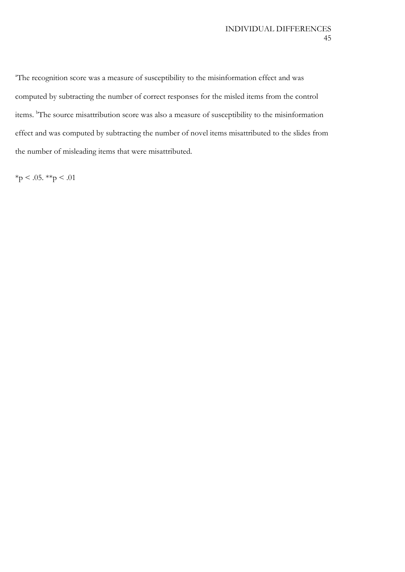<sup>a</sup>The recognition score was a measure of susceptibility to the misinformation effect and was computed by subtracting the number of correct responses for the misled items from the control items. <sup>b</sup>The source misattribution score was also a measure of susceptibility to the misinformation effect and was computed by subtracting the number of novel items misattributed to the slides from the number of misleading items that were misattributed.

 $*<sub>p</sub> < .05. **p < .01$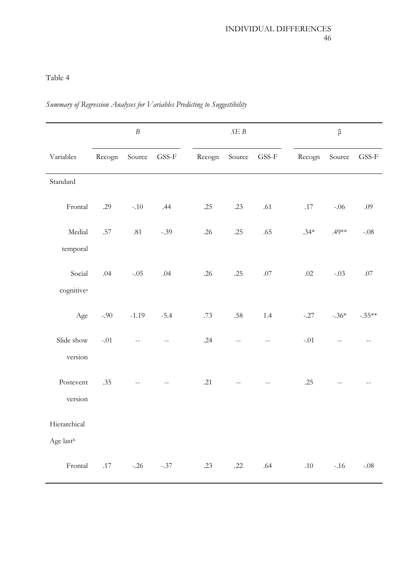# *Summary of Regression Analyses for Variables Predicting to Suggestibility*

|                        |         | $\boldsymbol{B}$ |                        |        | $\cal SE$ $\cal B$ |                                               |        | $\beta$ |          |  |  |
|------------------------|---------|------------------|------------------------|--------|--------------------|-----------------------------------------------|--------|---------|----------|--|--|
| Variables              | Recogn  | Source           | $\operatorname{GSS-F}$ | Recogn | Source             | $\ensuremath{\mathsf{GSS}\text{-}\mathsf{F}}$ | Recogn | Source  | GSS-F    |  |  |
| Standard               |         |                  |                        |        |                    |                                               |        |         |          |  |  |
| Frontal                | .29     | $-.10$           | .44                    | .25    | .23                | .61                                           | .17    | $-.06$  | .09      |  |  |
| Medial                 | $.57\,$ | .81              | $-.39$                 | .26    | .25                | .65                                           | $.34*$ | $.49**$ | $-.08$   |  |  |
| temporal               |         |                  |                        |        |                    |                                               |        |         |          |  |  |
| Social                 | .04     | $-.05$           | .04                    | .26    | .25                | $.07\,$                                       | .02    | $-.03$  | .07      |  |  |
| cognitive <sup>a</sup> |         |                  |                        |        |                    |                                               |        |         |          |  |  |
| Age                    | $-.90$  | $-1.19$          | $-5.4$                 | .73    | .58                | 1.4                                           | $-.27$ | $-.36*$ | $-.55**$ |  |  |
| Slide show             | $-.01$  | $-$              |                        | .24    | $\overline{a}$     | $\overline{a}$                                | $-.01$ | $-$     |          |  |  |
| version                |         |                  |                        |        |                    |                                               |        |         |          |  |  |
| Postevent              | .35     | $-$              |                        | .21    |                    | $\mathbf{--}$                                 | .25    |         |          |  |  |
| version                |         |                  |                        |        |                    |                                               |        |         |          |  |  |
| Hierarchical           |         |                  |                        |        |                    |                                               |        |         |          |  |  |
| Age last <sup>b</sup>  |         |                  |                        |        |                    |                                               |        |         |          |  |  |
| Frontal                | .17     | $-.26$           | $-.37$                 | .23    | .22                | .64                                           | .10    | $-.16$  | $-.08$   |  |  |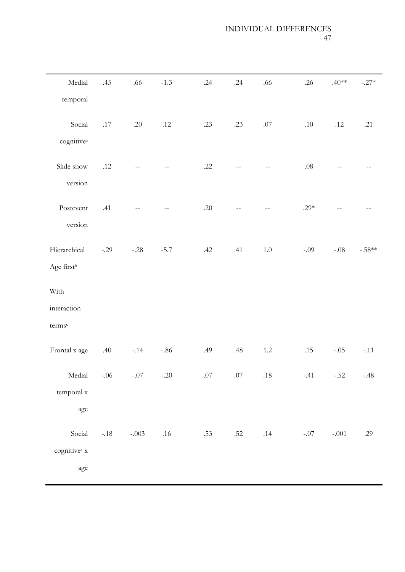# INDIVIDUAL DIFFERENCES 47

| Medial                                    | .45     | $.66\,$               | $-1.3$  | .24     | .24 | .66          | .26     | $.40**$       | $-.27*$  |
|-------------------------------------------|---------|-----------------------|---------|---------|-----|--------------|---------|---------------|----------|
| temporal                                  |         |                       |         |         |     |              |         |               |          |
| Social<br>cognitive <sup>a</sup>          | $.17\,$ | .20                   | $.12\,$ | .23     | .23 | $.07$        | .10     | $.12\,$       | .21      |
| Slide show<br>version                     | $.12$   |                       |         | .22     |     |              | $.08\,$ |               |          |
| Postevent<br>version                      | .41     |                       |         | .20     |     | $\mathbf{u}$ | .29 $*$ | $-$           |          |
| Hierarchical<br>Age first <sup>b</sup>    | $-.29$  | $-.28$                | $-5.7$  | .42     | .41 | $1.0\,$      | $-.09$  | $-.08$        | $-.58**$ |
| With                                      |         |                       |         |         |     |              |         |               |          |
| interaction                               |         |                       |         |         |     |              |         |               |          |
| terms <sup>c</sup>                        |         |                       |         |         |     |              |         |               |          |
| Frontal x age                             | .40     | $-.14$                | $-.86$  | .49     | .48 | $1.2\,$      | .15     | $-.05$        | $-.11$   |
|                                           |         | Medial -.06 -.07 -.20 |         | .07 .07 |     | .18          |         | $-.41$ $-.52$ | $-.48$   |
| temporal x<br>age                         |         |                       |         |         |     |              |         |               |          |
| Social<br>cognitive <sup>a</sup> x<br>age | $-.18$  | $-.003$               | $.16$   | .53     | .52 | .14          | $-.07$  | $-.001$       | .29      |
|                                           |         |                       |         |         |     |              |         |               |          |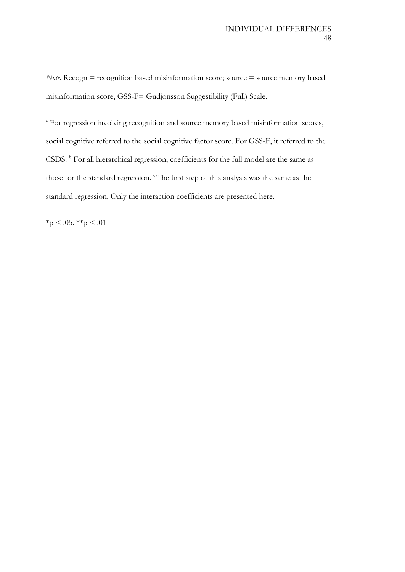*Note.* Recogn  $=$  recognition based misinformation score; source  $=$  source memory based misinformation score, GSS-F= Gudjonsson Suggestibility (Full) Scale.

<sup>a</sup> For regression involving recognition and source memory based misinformation scores, social cognitive referred to the social cognitive factor score. For GSS-F, it referred to the CSDS. <sup>b</sup> For all hierarchical regression, coefficients for the full model are the same as those for the standard regression. <sup>c</sup>The first step of this analysis was the same as the standard regression. Only the interaction coefficients are presented here.

 $*_{p}$  < .05.  $*_{p}$  < .01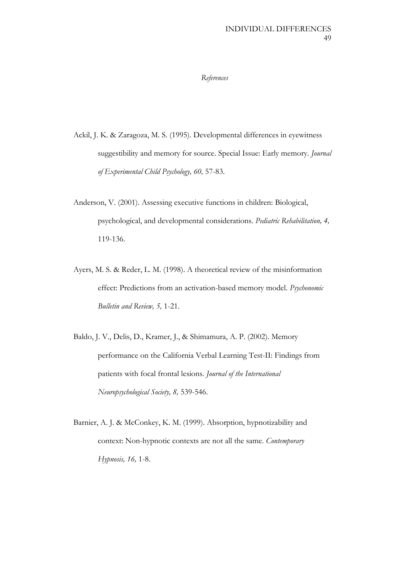#### *References*

- Ackil, J. K. & Zaragoza, M. S. (1995). Developmental differences in eyewitness suggestibility and memory for source. Special Issue: Early memory. *Journal of Experimental Child Psychology, 60,* 57-83.
- Anderson, V. (2001). Assessing executive functions in children: Biological, psychological, and developmental considerations. *Pediatric Rehabilitation, 4,* 119-136.
- Ayers, M. S. & Reder, L. M. (1998). A theoretical review of the misinformation effect: Predictions from an activation-based memory model. *Psychonomic Bulletin and Review, 5,* 1-21.
- Baldo, J. V., Delis, D., Kramer, J., & Shimamura, A. P. (2002). Memory performance on the California Verbal Learning Test-II: Findings from patients with focal frontal lesions. *Journal of the International Neuropsychological Society, 8,* 539-546.
- Barnier, A. J. & McConkey, K. M. (1999). Absorption, hypnotizability and context: Non-hypnotic contexts are not all the same. *Contemporary Hypnosis, 16,* 1-8.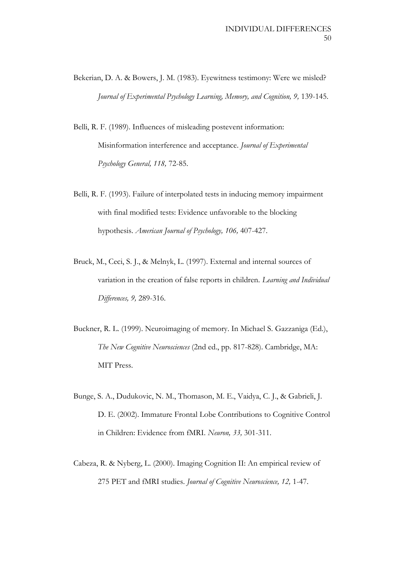- Bekerian, D. A. & Bowers, J. M. (1983). Eyewitness testimony: Were we misled? *Journal of Experimental Psychology Learning, Memory, and Cognition, 9,* 139-145.
- Belli, R. F. (1989). Influences of misleading postevent information: Misinformation interference and acceptance. *Journal of Experimental Psychology General, 118,* 72-85.
- Belli, R. F. (1993). Failure of interpolated tests in inducing memory impairment with final modified tests: Evidence unfavorable to the blocking hypothesis. *American Journal of Psychology, 106,* 407-427.
- Bruck, M., Ceci, S. J., & Melnyk, L. (1997). External and internal sources of variation in the creation of false reports in children. *Learning and Individual Differences, 9,* 289-316.
- Buckner, R. L. (1999). Neuroimaging of memory. In Michael S. Gazzaniga (Ed.), *The New Cognitive Neurosciences* (2nd ed., pp. 817-828). Cambridge, MA: MIT Press.
- Bunge, S. A., Dudukovic, N. M., Thomason, M. E., Vaidya, C. J., & Gabrieli, J. D. E. (2002). Immature Frontal Lobe Contributions to Cognitive Control in Children: Evidence from fMRI. *Neuron, 33,* 301-311.
- Cabeza, R. & Nyberg, L. (2000). Imaging Cognition II: An empirical review of 275 PET and fMRI studies. *Journal of Cognitive Neuroscience, 12,* 1-47.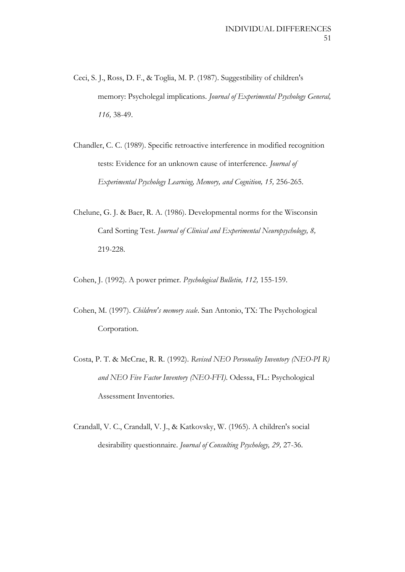- Ceci, S. J., Ross, D. F., & Toglia, M. P. (1987). Suggestibility of children's memory: Psycholegal implications. *Journal of Experimental Psychology General, 116,* 38-49.
- Chandler, C. C. (1989). Specific retroactive interference in modified recognition tests: Evidence for an unknown cause of interference. *Journal of Experimental Psychology Learning, Memory, and Cognition, 15,* 256-265.
- Chelune, G. J. & Baer, R. A. (1986). Developmental norms for the Wisconsin Card Sorting Test. *Journal of Clinical and Experimental Neuropsychology, 8,* 219-228.

Cohen, J. (1992). A power primer. *Psychological Bulletin, 112,* 155-159.

- Cohen, M. (1997). *Children's memory scale*. San Antonio, TX: The Psychological Corporation.
- Costa, P. T. & McCrae, R. R. (1992). *Revised NEO Personality Inventory (NEO-PI R) and NEO Five Factor Inventory (NEO-FFI)*. Odessa, FL.: Psychological Assessment Inventories.
- Crandall, V. C., Crandall, V. J., & Katkovsky, W. (1965). A children's social desirability questionnaire. *Journal of Consulting Psychology, 29,* 27-36.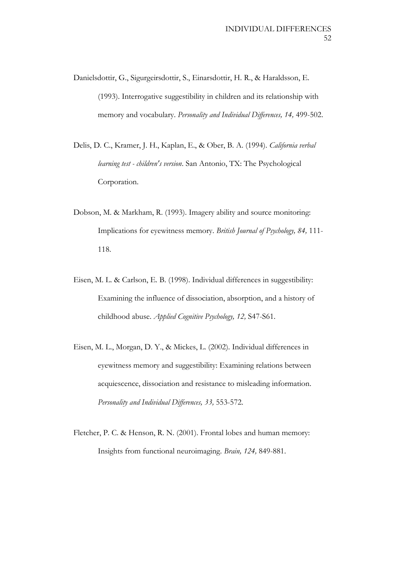- Danielsdottir, G., Sigurgeirsdottir, S., Einarsdottir, H. R., & Haraldsson, E. (1993). Interrogative suggestibility in children and its relationship with memory and vocabulary. *Personality and Individual Differences, 14,* 499-502.
- Delis, D. C., Kramer, J. H., Kaplan, E., & Ober, B. A. (1994). *California verbal learning test - children's version*. San Antonio, TX: The Psychological Corporation.
- Dobson, M. & Markham, R. (1993). Imagery ability and source monitoring: Implications for eyewitness memory. *British Journal of Psychology, 84,* 111- 118.
- Eisen, M. L. & Carlson, E. B. (1998). Individual differences in suggestibility: Examining the influence of dissociation, absorption, and a history of childhood abuse. *Applied Cognitive Psychology, 12,* S47-S61.
- Eisen, M. L., Morgan, D. Y., & Mickes, L. (2002). Individual differences in eyewitness memory and suggestibility: Examining relations between acquiescence, dissociation and resistance to misleading information. *Personality and Individual Differences, 33,* 553-572.
- Fletcher, P. C. & Henson, R. N. (2001). Frontal lobes and human memory: Insights from functional neuroimaging. *Brain, 124,* 849-881.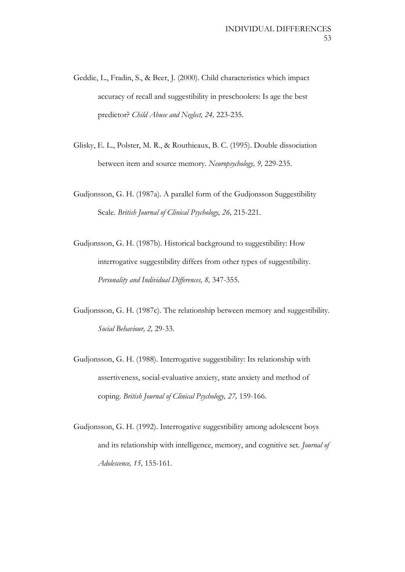- Geddie, L., Fradin, S., & Beer, J. (2000). Child characteristics which impact accuracy of recall and suggestibility in preschoolers: Is age the best predictor? *Child Abuse and Neglect, 24,* 223-235.
- Glisky, E. L., Polster, M. R., & Routhieaux, B. C. (1995). Double dissociation between item and source memory. *Neuropsychology, 9,* 229-235.
- Gudjonsson, G. H. (1987a). A parallel form of the Gudjonsson Suggestibility Scale. *British Journal of Clinical Psychology, 26,* 215-221.
- Gudjonsson, G. H. (1987b). Historical background to suggestibility: How interrogative suggestibility differs from other types of suggestibility. *Personality and Individual Differences, 8,* 347-355.
- Gudjonsson, G. H. (1987c). The relationship between memory and suggestibility. *Social Behaviour, 2,* 29-33.
- Gudjonsson, G. H. (1988). Interrogative suggestibility: Its relationship with assertiveness, social-evaluative anxiety, state anxiety and method of coping. *British Journal of Clinical Psychology, 27,* 159-166.
- Gudjonsson, G. H. (1992). Interrogative suggestibility among adolescent boys and its relationship with intelligence, memory, and cognitive set. *Journal of Adolescence, 15,* 155-161.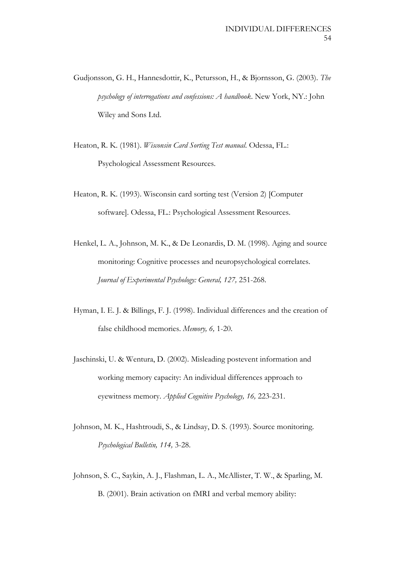- Gudjonsson, G. H., Hannesdottir, K., Petursson, H., & Bjornsson, G. (2003). *The psychology of interrogations and confessions: A handbook*. New York, NY.: John Wiley and Sons Ltd.
- Heaton, R. K. (1981). *Wisconsin Card Sorting Test manual*. Odessa, FL.: Psychological Assessment Resources.
- Heaton, R. K. (1993). Wisconsin card sorting test (Version 2) [Computer software]. Odessa, FL.: Psychological Assessment Resources.
- Henkel, L. A., Johnson, M. K., & De Leonardis, D. M. (1998). Aging and source monitoring: Cognitive processes and neuropsychological correlates. *Journal of Experimental Psychology: General, 127,* 251-268.
- Hyman, I. E. J. & Billings, F. J. (1998). Individual differences and the creation of false childhood memories. *Memory, 6,* 1-20.
- Jaschinski, U. & Wentura, D. (2002). Misleading postevent information and working memory capacity: An individual differences approach to eyewitness memory. *Applied Cognitive Psychology, 16,* 223-231.
- Johnson, M. K., Hashtroudi, S., & Lindsay, D. S. (1993). Source monitoring. *Psychological Bulletin, 114,* 3-28.
- Johnson, S. C., Saykin, A. J., Flashman, L. A., McAllister, T. W., & Sparling, M. B. (2001). Brain activation on fMRI and verbal memory ability: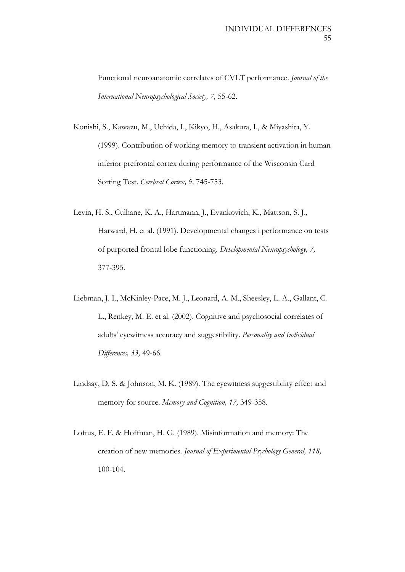Functional neuroanatomic correlates of CVLT performance. *Journal of the International Neuropsychological Society, 7,* 55-62.

- Konishi, S., Kawazu, M., Uchida, I., Kikyo, H., Asakura, I., & Miyashita, Y. (1999). Contribution of working memory to transient activation in human inferior prefrontal cortex during performance of the Wisconsin Card Sorting Test. *Cerebral Cortex, 9,* 745-753.
- Levin, H. S., Culhane, K. A., Hartmann, J., Evankovich, K., Mattson, S. J., Harward, H. et al. (1991). Developmental changes i performance on tests of purported frontal lobe functioning. *Developmental Neuropsychology, 7,* 377-395.
- Liebman, J. I., McKinley-Pace, M. J., Leonard, A. M., Sheesley, L. A., Gallant, C. L., Renkey, M. E. et al. (2002). Cognitive and psychosocial correlates of adults' eyewitness accuracy and suggestibility. *Personality and Individual Differences, 33,* 49-66.
- Lindsay, D. S. & Johnson, M. K. (1989). The eyewitness suggestibility effect and memory for source. *Memory and Cognition, 17,* 349-358.
- Loftus, E. F. & Hoffman, H. G. (1989). Misinformation and memory: The creation of new memories. *Journal of Experimental Psychology General, 118,* 100-104.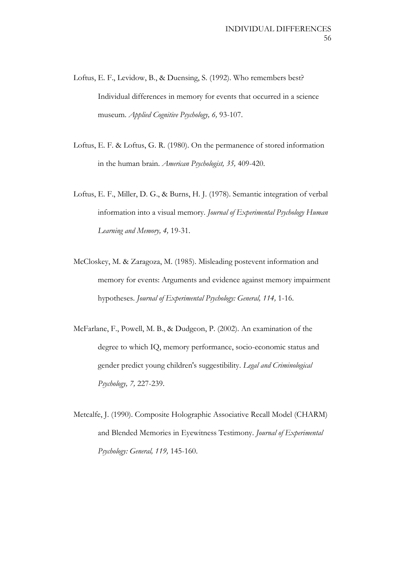- Loftus, E. F., Levidow, B., & Duensing, S. (1992). Who remembers best? Individual differences in memory for events that occurred in a science museum. *Applied Cognitive Psychology, 6,* 93-107.
- Loftus, E. F. & Loftus, G. R. (1980). On the permanence of stored information in the human brain. *American Psychologist, 35,* 409-420.
- Loftus, E. F., Miller, D. G., & Burns, H. J. (1978). Semantic integration of verbal information into a visual memory. *Journal of Experimental Psychology Human Learning and Memory, 4,* 19-31.
- McCloskey, M. & Zaragoza, M. (1985). Misleading postevent information and memory for events: Arguments and evidence against memory impairment hypotheses. *Journal of Experimental Psychology: General, 114,* 1-16.
- McFarlane, F., Powell, M. B., & Dudgeon, P. (2002). An examination of the degree to which IQ, memory performance, socio-economic status and gender predict young children's suggestibility. *Legal and Criminological Psychology, 7,* 227-239.
- Metcalfe, J. (1990). Composite Holographic Associative Recall Model (CHARM) and Blended Memories in Eyewitness Testimony. *Journal of Experimental Psychology: General, 119,* 145-160.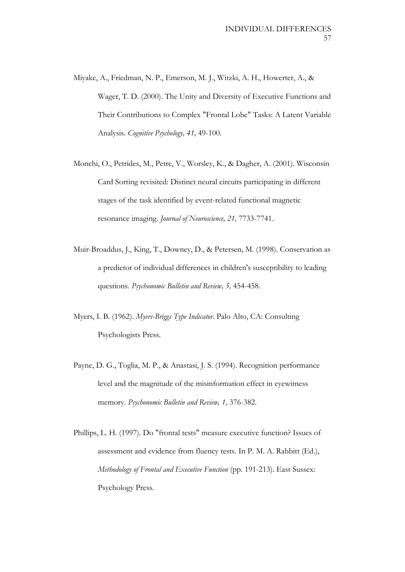- Miyake, A., Friedman, N. P., Emerson, M. J., Witzki, A. H., Howerter, A., & Wager, T. D. (2000). The Unity and Diversity of Executive Functions and Their Contributions to Complex "Frontal Lobe" Tasks: A Latent Variable Analysis. *Cognitive Psychology, 41,* 49-100.
- Monchi, O., Petrides, M., Petre, V., Worsley, K., & Dagher, A. (2001). Wisconsin Card Sorting revisited: Distinct neural circuits participating in different stages of the task identified by event-related functional magnetic resonance imaging. *Journal of Neuroscience, 21,* 7733-7741.
- Muir-Broaddus, J., King, T., Downey, D., & Petersen, M. (1998). Conservation as a predictor of individual differences in children's susceptibility to leading questions. *Psychonomic Bulletin and Review, 5,* 454-458.
- Myers, I. B. (1962). *Myers-Briggs Type Indicator*. Palo Alto, CA: Consulting Psychologists Press.
- Payne, D. G., Toglia, M. P., & Anastasi, J. S. (1994). Recognition performance level and the magnitude of the misinformation effect in eyewitness memory. *Psychonomic Bulletin and Review, 1,* 376-382.
- Phillips, L. H. (1997). Do "frontal tests" measure executive function? Issues of assessment and evidence from fluency tests. In P. M. A. Rabbitt (Ed.), *Methodology of Frontal and Executive Function* (pp. 191-213). East Sussex: Psychology Press.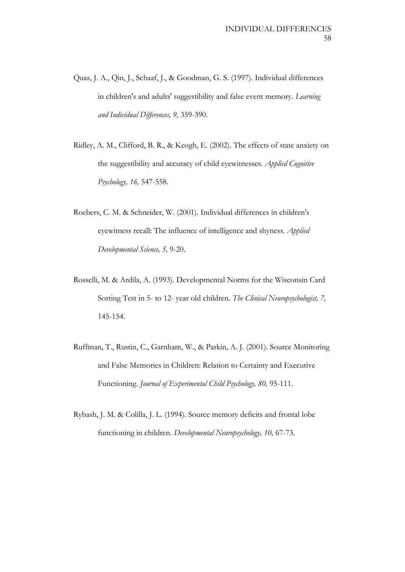- Quas, J. A., Qin, J., Schaaf, J., & Goodman, G. S. (1997). Individual differences in children's and adults' suggestibility and false event memory. *Learning and Individual Differences, 9,* 359-390.
- Ridley, A. M., Clifford, B. R., & Keogh, E. (2002). The effects of state anxiety on the suggestibility and accuracy of child eyewitnesses. *Applied Cognitive Psychology, 16,* 547-558.
- Roebers, C. M. & Schneider, W. (2001). Individual differences in children's eyewitness recall: The influence of intelligence and shyness. *Applied Developmental Science, 5,* 9-20.
- Rosselli, M. & Ardila, A. (1993). Developmental Norms for the Wisconsin Card Sorting Test in 5- to 12- year old children. *The Clinical Neuropsychologist, 7,* 145-154.
- Ruffman, T., Rustin, C., Garnham, W., & Parkin, A. J. (2001). Source Monitoring and False Memories in Children: Relation to Certainty and Executive Functioning. *Journal of Experimental Child Psychology, 80,* 95-111.
- Rybash, J. M. & Colilla, J. L. (1994). Source memory deficits and frontal lobe functioning in children. *Developmental Neuropsychology, 10,* 67-73.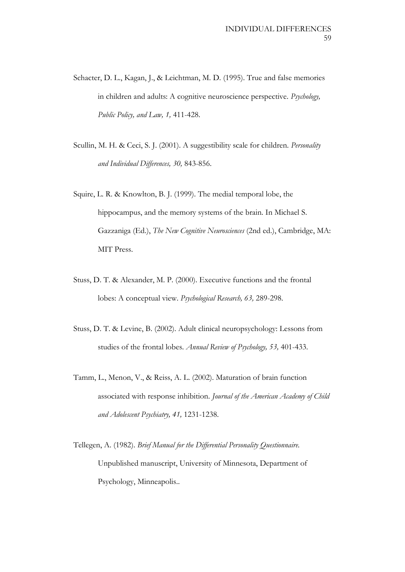- Schacter, D. L., Kagan, J., & Leichtman, M. D. (1995). True and false memories in children and adults: A cognitive neuroscience perspective. *Psychology, Public Policy, and Law, 1,* 411-428.
- Scullin, M. H. & Ceci, S. J. (2001). A suggestibility scale for children. *Personality and Individual Differences, 30,* 843-856.
- Squire, L. R. & Knowlton, B. J. (1999). The medial temporal lobe, the hippocampus, and the memory systems of the brain. In Michael S. Gazzaniga (Ed.), *The New Cognitive Neurosciences* (2nd ed.), Cambridge, MA: MIT Press.
- Stuss, D. T. & Alexander, M. P. (2000). Executive functions and the frontal lobes: A conceptual view. *Psychological Research, 63,* 289-298.
- Stuss, D. T. & Levine, B. (2002). Adult clinical neuropsychology: Lessons from studies of the frontal lobes. *Annual Review of Psychology, 53,* 401-433.
- Tamm, L., Menon, V., & Reiss, A. L. (2002). Maturation of brain function associated with response inhibition. *Journal of the American Academy of Child and Adolescent Psychiatry, 41,* 1231-1238.
- Tellegen, A. (1982). *Brief Manual for the Differential Personality Questionnaire.* Unpublished manuscript, University of Minnesota, Department of Psychology, Minneapolis..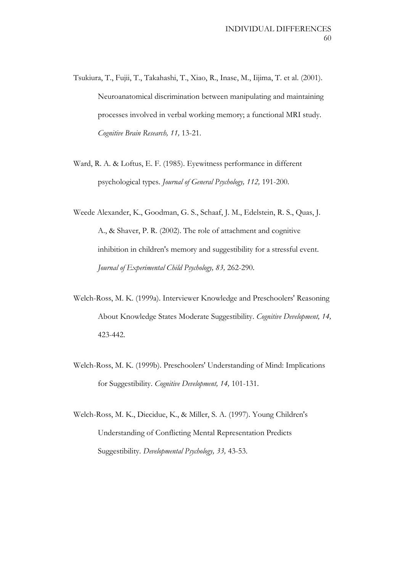- Tsukiura, T., Fujii, T., Takahashi, T., Xiao, R., Inase, M., Iijima, T. et al. (2001). Neuroanatomical discrimination between manipulating and maintaining processes involved in verbal working memory; a functional MRI study. *Cognitive Brain Research, 11,* 13-21.
- Ward, R. A. & Loftus, E. F. (1985). Eyewitness performance in different psychological types. *Journal of General Psychology, 112,* 191-200.
- Weede Alexander, K., Goodman, G. S., Schaaf, J. M., Edelstein, R. S., Quas, J. A., & Shaver, P. R. (2002). The role of attachment and cognitive inhibition in children's memory and suggestibility for a stressful event. *Journal of Experimental Child Psychology, 83,* 262-290.
- Welch-Ross, M. K. (1999a). Interviewer Knowledge and Preschoolers' Reasoning About Knowledge States Moderate Suggestibility. *Cognitive Development, 14,* 423-442.
- Welch-Ross, M. K. (1999b). Preschoolers' Understanding of Mind: Implications for Suggestibility. *Cognitive Development, 14,* 101-131.
- Welch-Ross, M. K., Diecidue, K., & Miller, S. A. (1997). Young Children's Understanding of Conflicting Mental Representation Predicts Suggestibility. *Developmental Psychology, 33,* 43-53.